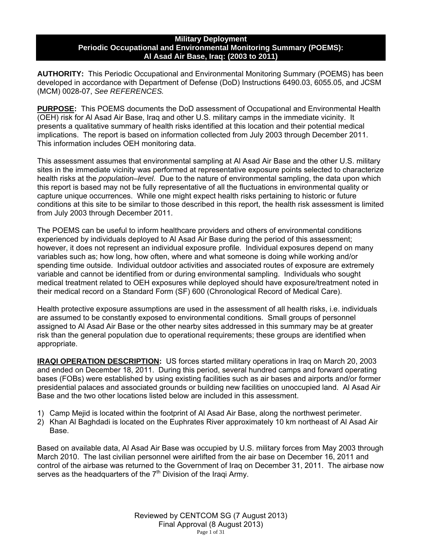### **Military Deployment Periodic Occupational and Environmental Monitoring Summary (POEMS): Al Asad Air Base, Iraq: (2003 to 2011)**

**AUTHORITY:** This Periodic Occupational and Environmental Monitoring Summary (POEMS) has been developed in accordance with Department of Defense (DoD) Instructions 6490.03, 6055.05, and JCSM (MCM) 0028-07, *See REFERENCES.* 

**PURPOSE:** This POEMS documents the DoD assessment of Occupational and Environmental Health (OEH) risk for Al Asad Air Base, Iraq and other U.S. military camps in the immediate vicinity. It presents a qualitative summary of health risks identified at this location and their potential medical implications. The report is based on information collected from July 2003 through December 2011. This information includes OEH monitoring data.

This assessment assumes that environmental sampling at Al Asad Air Base and the other U.S. military sites in the immediate vicinity was performed at representative exposure points selected to characterize health risks at the *population–level*. Due to the nature of environmental sampling, the data upon which this report is based may not be fully representative of all the fluctuations in environmental quality or capture unique occurrences. While one might expect health risks pertaining to historic or future conditions at this site to be similar to those described in this report, the health risk assessment is limited from July 2003 through December 2011.

The POEMS can be useful to inform healthcare providers and others of environmental conditions experienced by individuals deployed to Al Asad Air Base during the period of this assessment; however, it does not represent an individual exposure profile. Individual exposures depend on many variables such as; how long, how often, where and what someone is doing while working and/or spending time outside. Individual outdoor activities and associated routes of exposure are extremely variable and cannot be identified from or during environmental sampling. Individuals who sought medical treatment related to OEH exposures while deployed should have exposure/treatment noted in their medical record on a Standard Form (SF) 600 (Chronological Record of Medical Care).

Health protective exposure assumptions are used in the assessment of all health risks, i.e. individuals are assumed to be constantly exposed to environmental conditions. Small groups of personnel assigned to Al Asad Air Base or the other nearby sites addressed in this summary may be at greater risk than the general population due to operational requirements; these groups are identified when appropriate.

**IRAQI OPERATION DESCRIPTION:** US forces started military operations in Iraq on March 20, 2003 and ended on December 18, 2011. During this period, several hundred camps and forward operating bases (FOBs) were established by using existing facilities such as air bases and airports and/or former presidential palaces and associated grounds or building new facilities on unoccupied land. Al Asad Air Base and the two other locations listed below are included in this assessment.

- 1) Camp Mejid is located within the footprint of Al Asad Air Base, along the northwest perimeter.
- 2) Khan Al Baghdadi is located on the Euphrates River approximately 10 km northeast of Al Asad Air Base.

Based on available data, Al Asad Air Base was occupied by U.S. military forces from May 2003 through March 2010. The last civilian personnel were airlifted from the air base on December 16, 2011 and control of the airbase was returned to the Government of Iraq on December 31, 2011. The airbase now serves as the headquarters of the  $7<sup>th</sup>$  Division of the Iraqi Army.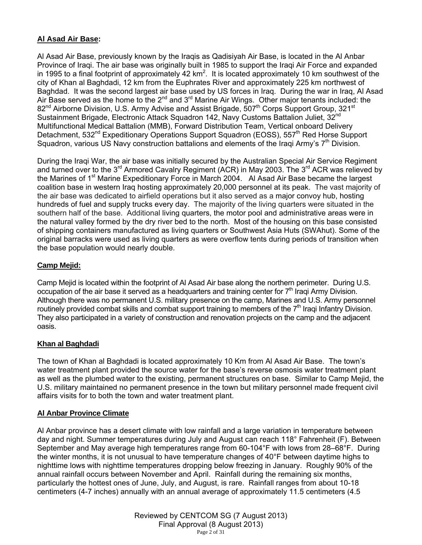# **Al Asad Air Base:**

Al Asad Air Base, previously known by the Iraqis as Qadisiyah Air Base, is located in the Al Anbar Province of Iraqi. The air base was originally built in 1985 to support the Iraqi Air Force and expanded in 1995 to a final footprint of approximately  $42 \text{ km}^2$ . It is located approximately 10 km southwest of the city of Khan al Baghdadi, 12 km from the Euphrates River and approximately 225 km northwest of Baghdad. It was the second largest air base used by US forces in Iraq. During the war in Iraq, Al Asad Air Base served as the home to the  $2^{nd}$  and  $3^{rd}$  Marine Air Wings. Other major tenants included: the 82<sup>nd</sup> Airborne Division, U.S. Army Advise and Assist Brigade, 507<sup>th</sup> Corps Support Group, 321<sup>st</sup> Sustainment Brigade, Electronic Attack Squadron 142, Navy Customs Battalion Juliet, 32<sup>nd</sup> Multifunctional Medical Battalion (MMB), Forward Distribution Team, Vertical onboard Delivery Detachment, 532<sup>nd</sup> Expeditionary Operations Support Squadron (EOSS), 557<sup>th</sup> Red Horse Support Squadron, various US Navy construction battalions and elements of the Iraqi Army's 7<sup>th</sup> Division.

During the Iraqi War, the air base was initially secured by the Australian Special Air Service Regiment and turned over to the  $3^{rd}$  Armored Cavalry Regiment (ACR) in May 2003. The  $3^{rd}$  ACR was relieved by the Marines of 1<sup>st</sup> Marine Expeditionary Force in March 2004. Al Asad Air Base became the largest coalition base in western Iraq hosting approximately 20,000 personnel at its peak. The vast majority of the air base was dedicated to airfield operations but it also served as a major convoy hub, hosting hundreds of fuel and supply trucks every day. The majority of the living quarters were situated in the southern half of the base. Additional living quarters, the motor pool and administrative areas were in the natural valley formed by the dry river bed to the north. Most of the housing on this base consisted of shipping containers manufactured as living quarters or Southwest Asia Huts (SWAhut). Some of the original barracks were used as living quarters as were overflow tents during periods of transition when the base population would nearly double.

# **Camp Mejid:**

Camp Mejid is located within the footprint of Al Asad Air base along the northern perimeter. During U.S. occupation of the air base it served as a headquarters and training center for  $7<sup>th</sup>$  Iraqi Army Division. Although there was no permanent U.S. military presence on the camp, Marines and U.S. Army personnel routinely provided combat skills and combat support training to members of the  $7<sup>th</sup>$  Iraqi Infantry Division. They also participated in a variety of construction and renovation projects on the camp and the adjacent oasis.

# **Khan al Baghdadi**

The town of Khan al Baghdadi is located approximately 10 Km from Al Asad Air Base. The town's water treatment plant provided the source water for the base's reverse osmosis water treatment plant as well as the plumbed water to the existing, permanent structures on base. Similar to Camp Mejid, the U.S. military maintained no permanent presence in the town but military personnel made frequent civil affairs visits for to both the town and water treatment plant.

# **Al Anbar Province Climate**

Al Anbar province has a desert climate with low rainfall and a large variation in temperature between day and night. Summer temperatures during July and August can reach 118° Fahrenheit (F). Between September and May average high temperatures range from 60-104°F with lows from 28–68°F. During the winter months, it is not unusual to have temperature changes of 40°F between daytime highs to nighttime lows with nighttime temperatures dropping below freezing in January. Roughly 90% of the annual rainfall occurs between November and April. Rainfall during the remaining six months, particularly the hottest ones of June, July, and August, is rare. Rainfall ranges from about 10-18 centimeters (4-7 inches) annually with an annual average of approximately 11.5 centimeters (4.5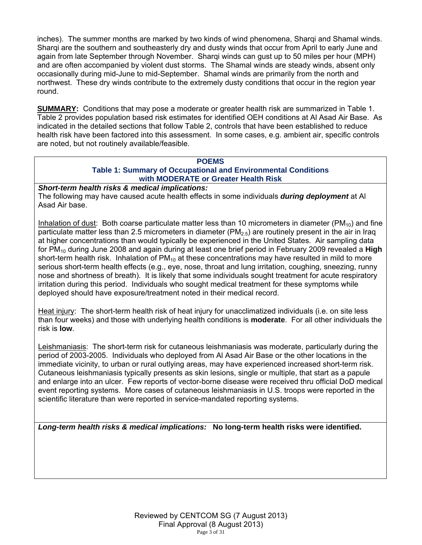inches). The summer months are marked by two kinds of wind phenomena, Sharqi and Shamal winds. Sharqi are the southern and southeasterly dry and dusty winds that occur from April to early June and again from late September through November. Sharqi winds can gust up to 50 miles per hour (MPH) and are often accompanied by violent dust storms. The Shamal winds are steady winds, absent only occasionally during mid-June to mid-September. Shamal winds are primarily from the north and northwest. These dry winds contribute to the extremely dusty conditions that occur in the region year round.

**SUMMARY:** Conditions that may pose a moderate or greater health risk are summarized in Table 1. Table 2 provides population based risk estimates for identified OEH conditions at Al Asad Air Base. As indicated in the detailed sections that follow Table 2, controls that have been established to reduce health risk have been factored into this assessment. In some cases, e.g. ambient air, specific controls are noted, but not routinely available/feasible.

### **POEMS Table 1: Summary of Occupational and Environmental Conditions with MODERATE or Greater Health Risk**

*Short-term health risks & medical implications:*

The following may have caused acute health effects in some individuals *during deployment* at Al Asad Air base.

Inhalation of dust: Both coarse particulate matter less than 10 micrometers in diameter (PM<sub>10</sub>) and fine particulate matter less than 2.5 micrometers in diameter ( $PM_{2.5}$ ) are routinely present in the air in Iraq at higher concentrations than would typically be experienced in the United States. Air sampling data for PM10 during June 2008 and again during at least one brief period in February 2009 revealed a **High** short-term health risk. Inhalation of  $PM_{10}$  at these concentrations may have resulted in mild to more serious short-term health effects (e.g., eye, nose, throat and lung irritation, coughing, sneezing, runny nose and shortness of breath). It is likely that some individuals sought treatment for acute respiratory irritation during this period. Individuals who sought medical treatment for these symptoms while deployed should have exposure/treatment noted in their medical record.

Heat injury: The short-term health risk of heat injury for unacclimatized individuals (i.e. on site less than four weeks) and those with underlying health conditions is **moderate**. For all other individuals the risk is **low**.

Leishmaniasis: The short-term risk for cutaneous leishmaniasis was moderate, particularly during the period of 2003-2005. Individuals who deployed from Al Asad Air Base or the other locations in the immediate vicinity, to urban or rural outlying areas, may have experienced increased short-term risk. Cutaneous leishmaniasis typically presents as skin lesions, single or multiple, that start as a papule and enlarge into an ulcer. Few reports of vector-borne disease were received thru official DoD medical event reporting systems. More cases of cutaneous leishmaniasis in U.S. troops were reported in the scientific literature than were reported in service-mandated reporting systems.

*Long-term health risks & medical implications:* **No long-term health risks were identified.**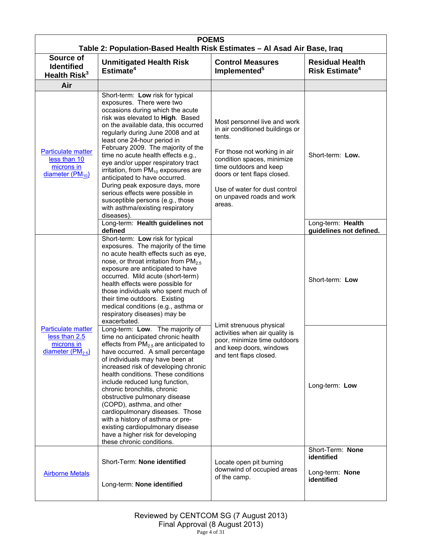| <b>POEMS</b><br>Table 2: Population-Based Health Risk Estimates - Al Asad Air Base, Iraq                    |                                                                                                                                                                                                                                                                                                                                                                                                                                                                                                                                                                                                                      |                                                                                                                                                                                                                                                                          |                                                                 |  |
|-------------------------------------------------------------------------------------------------------------|----------------------------------------------------------------------------------------------------------------------------------------------------------------------------------------------------------------------------------------------------------------------------------------------------------------------------------------------------------------------------------------------------------------------------------------------------------------------------------------------------------------------------------------------------------------------------------------------------------------------|--------------------------------------------------------------------------------------------------------------------------------------------------------------------------------------------------------------------------------------------------------------------------|-----------------------------------------------------------------|--|
| Source of<br><b>Unmitigated Health Risk</b><br><b>Identified</b><br>Estimate <sup>4</sup><br>Health $Risk3$ |                                                                                                                                                                                                                                                                                                                                                                                                                                                                                                                                                                                                                      | <b>Control Measures</b><br><b>Residual Health</b><br>Implemented <sup>5</sup><br><b>Risk Estimate<sup>4</sup></b>                                                                                                                                                        |                                                                 |  |
| Air                                                                                                         |                                                                                                                                                                                                                                                                                                                                                                                                                                                                                                                                                                                                                      |                                                                                                                                                                                                                                                                          |                                                                 |  |
| <b>Particulate matter</b><br>less than 10<br>microns in<br>diameter $(PM_{10})$                             | Short-term: Low risk for typical<br>exposures. There were two<br>occasions during which the acute<br>risk was elevated to High. Based<br>on the available data, this occurred<br>regularly during June 2008 and at<br>least one 24-hour period in<br>February 2009. The majority of the<br>time no acute health effects e.g.,<br>eye and/or upper respiratory tract<br>irritation, from PM <sub>10</sub> exposures are<br>anticipated to have occurred.<br>During peak exposure days, more<br>serious effects were possible in<br>susceptible persons (e.g., those<br>with asthma/existing respiratory<br>diseases). | Most personnel live and work<br>in air conditioned buildings or<br>tents.<br>For those not working in air<br>condition spaces, minimize<br>time outdoors and keep<br>doors or tent flaps closed.<br>Use of water for dust control<br>on unpaved roads and work<br>areas. | Short-term: Low.                                                |  |
|                                                                                                             | Long-term: Health guidelines not<br>defined                                                                                                                                                                                                                                                                                                                                                                                                                                                                                                                                                                          |                                                                                                                                                                                                                                                                          | Long-term: Health<br>guidelines not defined.                    |  |
| <b>Particulate matter</b><br>less than 2.5<br>microns in<br>diameter $(PM2.5)$                              | Short-term: Low risk for typical<br>exposures. The majority of the time<br>no acute health effects such as eye,<br>nose, or throat irritation from PM <sub>2.5</sub><br>exposure are anticipated to have<br>occurred. Mild acute (short-term)<br>health effects were possible for<br>those individuals who spent much of<br>their time outdoors. Existing<br>medical conditions (e.g., asthma or<br>respiratory diseases) may be<br>exacerbated.                                                                                                                                                                     | Limit strenuous physical                                                                                                                                                                                                                                                 | Short-term: Low                                                 |  |
|                                                                                                             | Long-term: Low. The majority of<br>time no anticipated chronic health<br>effects from $PM_{2.5}$ are anticipated to<br>have occurred. A small percentage<br>of individuals may have been at<br>increased risk of developing chronic<br>health conditions. These conditions<br>include reduced lung function,<br>chronic bronchitis, chronic<br>obstructive pulmonary disease<br>(COPD), asthma, and other<br>cardiopulmonary diseases. Those<br>with a history of asthma or pre-<br>existing cardiopulmonary disease<br>have a higher risk for developing<br>these chronic conditions.                               | activities when air quality is<br>poor, minimize time outdoors<br>and keep doors, windows<br>and tent flaps closed.                                                                                                                                                      | Long-term: Low                                                  |  |
| <b>Airborne Metals</b>                                                                                      | Short-Term: None identified<br>Long-term: None identified                                                                                                                                                                                                                                                                                                                                                                                                                                                                                                                                                            | Locate open pit burning<br>downwind of occupied areas<br>of the camp.                                                                                                                                                                                                    | Short-Term: None<br>identified<br>Long-term: None<br>identified |  |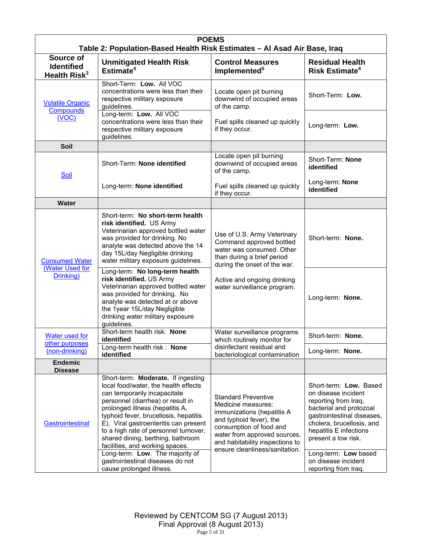| <b>POEMS</b><br>Table 2: Population-Based Health Risk Estimates - Al Asad Air Base, Iraq                                                                                                                                                                                                                                                                                                                                                                                                                     |                                                                                                                                                                                                                                                                                       |                                                                                                                                                                                                                                           |                                                                                                                                                                                                                                                                                     |  |
|--------------------------------------------------------------------------------------------------------------------------------------------------------------------------------------------------------------------------------------------------------------------------------------------------------------------------------------------------------------------------------------------------------------------------------------------------------------------------------------------------------------|---------------------------------------------------------------------------------------------------------------------------------------------------------------------------------------------------------------------------------------------------------------------------------------|-------------------------------------------------------------------------------------------------------------------------------------------------------------------------------------------------------------------------------------------|-------------------------------------------------------------------------------------------------------------------------------------------------------------------------------------------------------------------------------------------------------------------------------------|--|
| Source of<br><b>Identified</b><br>Health Risk <sup>3</sup>                                                                                                                                                                                                                                                                                                                                                                                                                                                   | <b>Unmitigated Health Risk</b><br>Estimate <sup>4</sup>                                                                                                                                                                                                                               | <b>Control Measures</b><br>Implemented <sup>5</sup>                                                                                                                                                                                       | <b>Residual Health</b><br>Risk Estimate <sup>4</sup>                                                                                                                                                                                                                                |  |
| <b>Volatile Organic</b><br>Compounds                                                                                                                                                                                                                                                                                                                                                                                                                                                                         | Short-Term: Low. All VOC<br>concentrations were less than their<br>respective military exposure<br>guidelines.                                                                                                                                                                        | Locate open pit burning<br>downwind of occupied areas<br>of the camp.                                                                                                                                                                     | Short-Term: Low.                                                                                                                                                                                                                                                                    |  |
| (VOC)                                                                                                                                                                                                                                                                                                                                                                                                                                                                                                        | Long-term: Low. All VOC<br>concentrations were less than their<br>respective military exposure<br>guidelines.                                                                                                                                                                         | Fuel spills cleaned up quickly<br>if they occur.                                                                                                                                                                                          | Long-term: Low.                                                                                                                                                                                                                                                                     |  |
| Soil                                                                                                                                                                                                                                                                                                                                                                                                                                                                                                         |                                                                                                                                                                                                                                                                                       |                                                                                                                                                                                                                                           |                                                                                                                                                                                                                                                                                     |  |
| Soil                                                                                                                                                                                                                                                                                                                                                                                                                                                                                                         | Short-Term: None identified                                                                                                                                                                                                                                                           | Locate open pit burning<br>downwind of occupied areas<br>of the camp.                                                                                                                                                                     | Short-Term: None<br>identified                                                                                                                                                                                                                                                      |  |
|                                                                                                                                                                                                                                                                                                                                                                                                                                                                                                              | Fuel spills cleaned up quickly<br>Long-term: None identified<br>if they occur.                                                                                                                                                                                                        |                                                                                                                                                                                                                                           | Long-term: None<br>identified                                                                                                                                                                                                                                                       |  |
| <b>Water</b>                                                                                                                                                                                                                                                                                                                                                                                                                                                                                                 |                                                                                                                                                                                                                                                                                       |                                                                                                                                                                                                                                           |                                                                                                                                                                                                                                                                                     |  |
| <b>Consumed Water</b><br>(Water Used for<br>Drinking)                                                                                                                                                                                                                                                                                                                                                                                                                                                        | Short-term: No short-term health<br>risk identified. US Army<br>Veterinarian approved bottled water<br>was provided for drinking. No<br>analyte was detected above the 14<br>day 15L/day Negligible drinking<br>water military exposure guidelines.<br>Long-term: No long-term health | Use of U.S. Army Veterinary<br>Command approved bottled<br>water was consumed. Other<br>than during a brief period<br>during the onset of the war.                                                                                        | Short-term: None.                                                                                                                                                                                                                                                                   |  |
|                                                                                                                                                                                                                                                                                                                                                                                                                                                                                                              | risk identified. US Army<br>Veterinarian approved bottled water<br>was provided for drinking. No<br>analyte was detected at or above<br>the 1year 15L/day Negligible<br>drinking water military exposure<br>guidelines.                                                               | Active and ongoing drinking<br>water surveillance program.                                                                                                                                                                                | Long-term: None.                                                                                                                                                                                                                                                                    |  |
| Water used for                                                                                                                                                                                                                                                                                                                                                                                                                                                                                               | Short-term health risk: None<br>identified                                                                                                                                                                                                                                            | Water surveillance programs<br>which routinely monitor for                                                                                                                                                                                | Short-term: None.                                                                                                                                                                                                                                                                   |  |
| <u>other purposes</u><br>(non-drinking)                                                                                                                                                                                                                                                                                                                                                                                                                                                                      | Long-term health risk: None<br>identified                                                                                                                                                                                                                                             | disinfectant residual and<br>bacteriological contamination                                                                                                                                                                                | Long-term: None.                                                                                                                                                                                                                                                                    |  |
| <b>Endemic</b><br><b>Disease</b>                                                                                                                                                                                                                                                                                                                                                                                                                                                                             |                                                                                                                                                                                                                                                                                       |                                                                                                                                                                                                                                           |                                                                                                                                                                                                                                                                                     |  |
| Short-term: Moderate. If ingesting<br>local food/water, the health effects<br>can temporarily incapacitate<br>personnel (diarrhea) or result in<br>prolonged illness (hepatitis A,<br>typhoid fever, brucellosis, hepatitis<br>E). Viral gastroenteritis can present<br>Gastrointestinal<br>to a high rate of personnel turnover,<br>shared dining, berthing, bathroom<br>facilities, and working spaces.<br>Long-term: Low. The majority of<br>gastrointestinal diseases do not<br>cause prolonged illness. |                                                                                                                                                                                                                                                                                       | <b>Standard Preventive</b><br>Medicine measures:<br>immunizations (hepatitis A<br>and typhoid fever), the<br>consumption of food and<br>water from approved sources,<br>and habitability inspections to<br>ensure cleanliness/sanitation. | Short-term: Low. Based<br>on disease incident<br>reporting from Iraq,<br>bacterial and protozoal<br>gastrointestinal diseases,<br>cholera, brucellosis, and<br>hepatitis E infections<br>present a low risk.<br>Long-term: Low based<br>on disease incident<br>reporting from Iraq. |  |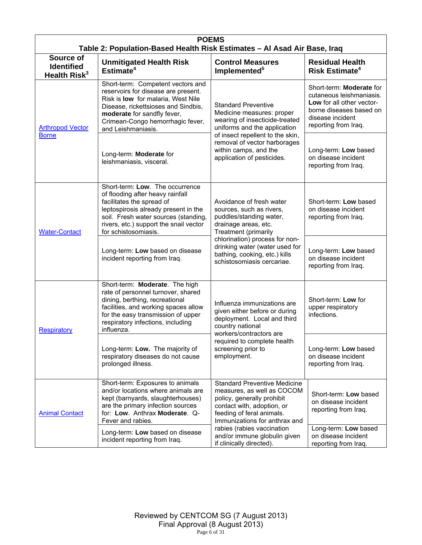| <b>POEMS</b><br>Table 2: Population-Based Health Risk Estimates - Al Asad Air Base, Iraq |                                                                                                                                                                                                                                                    |                                                                                                                                                                                             |                                                                                                                                                          |  |
|------------------------------------------------------------------------------------------|----------------------------------------------------------------------------------------------------------------------------------------------------------------------------------------------------------------------------------------------------|---------------------------------------------------------------------------------------------------------------------------------------------------------------------------------------------|----------------------------------------------------------------------------------------------------------------------------------------------------------|--|
| Source of<br><b>Identified</b><br>Health Risk <sup>3</sup>                               | <b>Unmitigated Health Risk</b><br>Estimate <sup>4</sup>                                                                                                                                                                                            | <b>Control Measures</b><br>Implemented <sup>5</sup>                                                                                                                                         | <b>Residual Health</b><br>Risk Estimate <sup>4</sup>                                                                                                     |  |
| <b>Arthropod Vector</b><br><b>Borne</b>                                                  | Short-term: Competent vectors and<br>reservoirs for disease are present.<br>Risk is low for malaria, West Nile<br>Disease, rickettsioses and Sindbis,<br>moderate for sandfly fever,<br>Crimean-Congo hemorrhagic fever,<br>and Leishmaniasis.     | <b>Standard Preventive</b><br>Medicine measures: proper<br>wearing of insecticide-treated<br>uniforms and the application                                                                   | Short-term: Moderate for<br>cutaneous leishmaniasis.<br>Low for all other vector-<br>borne diseases based on<br>disease incident<br>reporting from Iraq. |  |
|                                                                                          | Long-term: Moderate for<br>leishmaniasis, visceral.                                                                                                                                                                                                | of insect repellent to the skin,<br>removal of vector harborages<br>within camps, and the<br>application of pesticides.                                                                     | Long-term: Low based<br>on disease incident<br>reporting from Iraq.                                                                                      |  |
| <b>Water-Contact</b>                                                                     | Short-term: Low. The occurrence<br>of flooding after heavy rainfall<br>facilitates the spread of<br>leptospirosis already present in the<br>soil. Fresh water sources (standing,<br>rivers, etc.) support the snail vector<br>for schistosomiasis. | Avoidance of fresh water<br>sources, such as rivers,<br>puddles/standing water,<br>drainage areas, etc.<br>Treatment (primarily                                                             | Short-term: Low based<br>on disease incident<br>reporting from Iraq.                                                                                     |  |
|                                                                                          | Long-term: Low based on disease<br>incident reporting from Iraq.                                                                                                                                                                                   | chlorination) process for non-<br>drinking water (water used for<br>bathing, cooking, etc.) kills<br>schistosomiasis cercariae.                                                             | Long-term: Low based<br>on disease incident<br>reporting from Iraq.                                                                                      |  |
| Respiratory                                                                              | Short-term: Moderate. The high<br>rate of personnel turnover, shared<br>dining, berthing, recreational<br>facilities, and working spaces allow<br>for the easy transmission of upper<br>respiratory infections, including<br>influenza.            | Influenza immunizations are<br>given either before or during<br>deployment. Local and third<br>country national<br>workers/contractors are                                                  | Short-term: Low for<br>upper respiratory<br>infections.                                                                                                  |  |
|                                                                                          | Long-term: Low. The majority of<br>respiratory diseases do not cause<br>prolonged illness.                                                                                                                                                         | required to complete health<br>screening prior to<br>employment.                                                                                                                            | Long-term: Low based<br>on disease incident<br>reporting from Iraq.                                                                                      |  |
| <b>Animal Contact</b>                                                                    | Short-term: Exposures to animals<br>and/or locations where animals are<br>kept (barnyards, slaughterhouses)<br>are the primary infection sources<br>for: Low. Anthrax Moderate. Q-<br>Fever and rabies.                                            | <b>Standard Preventive Medicine</b><br>measures, as well as COCOM<br>policy, generally prohibit<br>contact with, adoption, or<br>feeding of feral animals.<br>Immunizations for anthrax and | Short-term: Low based<br>on disease incident<br>reporting from Iraq.                                                                                     |  |
|                                                                                          | Long-term: Low based on disease<br>incident reporting from Iraq.                                                                                                                                                                                   | rabies (rabies vaccination<br>and/or immune globulin given<br>if clinically directed).                                                                                                      | Long-term: Low based<br>on disease incident<br>reporting from Iraq.                                                                                      |  |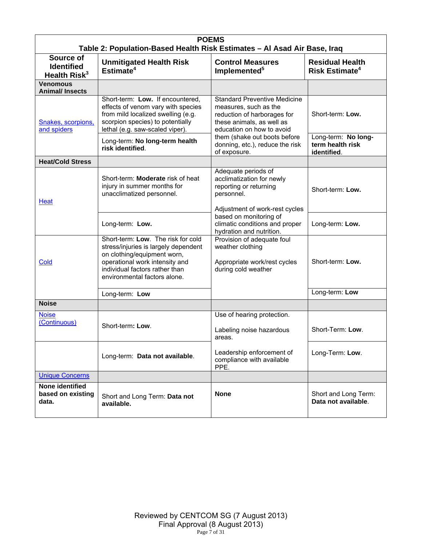| <b>POEMS</b><br>Table 2: Population-Based Health Risk Estimates - Al Asad Air Base, Iraq |                                                                                                                                                                                                                                                                                                                        |                                                                                                                                                                                        |                                                            |  |
|------------------------------------------------------------------------------------------|------------------------------------------------------------------------------------------------------------------------------------------------------------------------------------------------------------------------------------------------------------------------------------------------------------------------|----------------------------------------------------------------------------------------------------------------------------------------------------------------------------------------|------------------------------------------------------------|--|
| Source of<br><b>Identified</b><br>Health Risk <sup>3</sup>                               | <b>Unmitigated Health Risk</b><br>Estimate <sup>4</sup>                                                                                                                                                                                                                                                                | <b>Control Measures</b><br>Implemented <sup>5</sup>                                                                                                                                    | <b>Residual Health</b><br><b>Risk Estimate<sup>4</sup></b> |  |
| <b>Venomous</b><br><b>Animal/Insects</b>                                                 |                                                                                                                                                                                                                                                                                                                        |                                                                                                                                                                                        |                                                            |  |
| Snakes, scorpions,<br>and spiders                                                        | Short-term: Low. If encountered,<br>effects of venom vary with species<br>from mild localized swelling (e.g.<br>scorpion species) to potentially<br>lethal (e.g. saw-scaled viper).                                                                                                                                    | <b>Standard Preventive Medicine</b><br>measures, such as the<br>reduction of harborages for<br>these animals, as well as<br>education on how to avoid<br>them (shake out boots before) | Short-term: Low.<br>Long-term: No long-                    |  |
|                                                                                          | Long-term: No long-term health<br>risk identified.                                                                                                                                                                                                                                                                     | donning, etc.), reduce the risk<br>of exposure.                                                                                                                                        | term health risk<br>identified.                            |  |
| <b>Heat/Cold Stress</b>                                                                  |                                                                                                                                                                                                                                                                                                                        |                                                                                                                                                                                        |                                                            |  |
| Heat                                                                                     | Short-term: <b>Moderate</b> risk of heat<br>injury in summer months for<br>unacclimatized personnel.                                                                                                                                                                                                                   | Adequate periods of<br>acclimatization for newly<br>reporting or returning<br>personnel.<br>Adjustment of work-rest cycles                                                             | Short-term: Low.                                           |  |
|                                                                                          | Long-term: Low.                                                                                                                                                                                                                                                                                                        | based on monitoring of<br>climatic conditions and proper<br>hydration and nutrition.                                                                                                   | Long-term: Low.                                            |  |
| Cold                                                                                     | Short-term: Low. The risk for cold<br>Provision of adequate foul<br>stress/injuries is largely dependent<br>weather clothing<br>on clothing/equipment worn,<br>operational work intensity and<br>Appropriate work/rest cycles<br>individual factors rather than<br>during cold weather<br>environmental factors alone. |                                                                                                                                                                                        | Short-term: Low.                                           |  |
|                                                                                          | Long-term: Low                                                                                                                                                                                                                                                                                                         |                                                                                                                                                                                        | Long-term: Low                                             |  |
| <b>Noise</b>                                                                             |                                                                                                                                                                                                                                                                                                                        |                                                                                                                                                                                        |                                                            |  |
| <b>Noise</b><br>(Continuous)                                                             | Short-term: Low.                                                                                                                                                                                                                                                                                                       | Use of hearing protection.<br>Labeling noise hazardous<br>areas.                                                                                                                       | Short-Term: Low.                                           |  |
|                                                                                          | Long-term: Data not available.                                                                                                                                                                                                                                                                                         | Leadership enforcement of<br>compliance with available<br>PPE.                                                                                                                         | Long-Term: Low.                                            |  |
| <b>Unique Concerns</b>                                                                   |                                                                                                                                                                                                                                                                                                                        |                                                                                                                                                                                        |                                                            |  |
| None identified<br>based on existing<br>data.                                            | Short and Long Term: Data not<br>available.                                                                                                                                                                                                                                                                            | <b>None</b>                                                                                                                                                                            | Short and Long Term:<br>Data not available.                |  |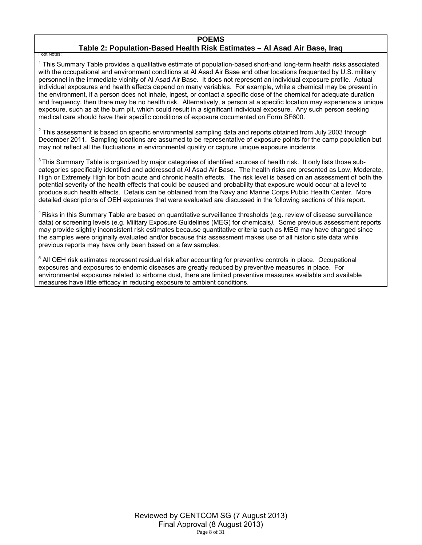#### **POEMS Table 2: Population-Based Health Risk Estimates – Al Asad Air Base, Iraq**

Foot Notes:

<sup>1</sup> This Summary Table provides a qualitative estimate of population-based short-and long-term health risks associated with the occupational and environment conditions at Al Asad Air Base and other locations frequented by U.S. military personnel in the immediate vicinity of Al Asad Air Base. It does not represent an individual exposure profile. Actual individual exposures and health effects depend on many variables. For example, while a chemical may be present in the environment, if a person does not inhale, ingest, or contact a specific dose of the chemical for adequate duration and frequency, then there may be no health risk. Alternatively, a person at a specific location may experience a unique exposure, such as at the burn pit, which could result in a significant individual exposure. Any such person seeking medical care should have their specific conditions of exposure documented on Form SF600.

 $2$  This assessment is based on specific environmental sampling data and reports obtained from July 2003 through December 2011. Sampling locations are assumed to be representative of exposure points for the camp population but may not reflect all the fluctuations in environmental quality or capture unique exposure incidents.

<sup>3</sup> This Summary Table is organized by major categories of identified sources of health risk. It only lists those subcategories specifically identified and addressed at Al Asad Air Base. The health risks are presented as Low, Moderate, High or Extremely High for both acute and chronic health effects. The risk level is based on an assessment of both the potential severity of the health effects that could be caused and probability that exposure would occur at a level to produce such health effects. Details can be obtained from the Navy and Marine Corps Public Health Center. More detailed descriptions of OEH exposures that were evaluated are discussed in the following sections of this report.

<sup>4</sup> Risks in this Summary Table are based on quantitative surveillance thresholds (e.g. review of disease surveillance data) or screening levels (e.g. Military Exposure Guidelines (MEG) for chemicals*).* Some previous assessment reports may provide slightly inconsistent risk estimates because quantitative criteria such as MEG may have changed since the samples were originally evaluated and/or because this assessment makes use of all historic site data while previous reports may have only been based on a few samples.

<sup>5</sup> All OEH risk estimates represent residual risk after accounting for preventive controls in place. Occupational exposures and exposures to endemic diseases are greatly reduced by preventive measures in place. For environmental exposures related to airborne dust, there are limited preventive measures available and available measures have little efficacy in reducing exposure to ambient conditions.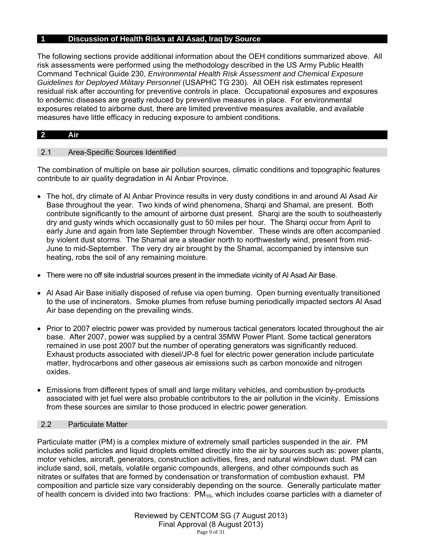# **1 Discussion of Health Risks at Al Asad, Iraq by Source**

The following sections provide additional information about the OEH conditions summarized above. All risk assessments were performed using the methodology described in the US Army Public Health Command Technical Guide 230, *Environmental Health Risk Assessment and Chemical Exposure Guidelines for Deployed Military Personnel* (USAPHC TG 230). All OEH risk estimates represent residual risk after accounting for preventive controls in place. Occupational exposures and exposures to endemic diseases are greatly reduced by preventive measures in place. For environmental exposures related to airborne dust, there are limited preventive measures available, and available measures have little efficacy in reducing exposure to ambient conditions.

# **2 Air**

# 2.1 Area-Specific Sources Identified

The combination of multiple on base air pollution sources, climatic conditions and topographic features contribute to air quality degradation in Al Anbar Province.

- The hot, dry climate of Al Anbar Province results in very dusty conditions in and around Al Asad Air Base throughout the year. Two kinds of wind phenomena, Sharqi and Shamal, are present. Both contribute significantly to the amount of airborne dust present. Sharqi are the south to southeasterly dry and gusty winds which occasionally gust to 50 miles per hour. The Sharqi occur from April to early June and again from late September through November. These winds are often accompanied by violent dust storms. The Shamal are a steadier north to northwesterly wind, present from mid-June to mid-September. The very dry air brought by the Shamal, accompanied by intensive sun heating, robs the soil of any remaining moisture.
- There were no off site industrial sources present in the immediate vicinity of Al Asad Air Base.
- Al Asad Air Base initially disposed of refuse via open burning. Open burning eventually transitioned to the use of incinerators. Smoke plumes from refuse burning periodically impacted sectors Al Asad Air base depending on the prevailing winds.
- Prior to 2007 electric power was provided by numerous tactical generators located throughout the air base. After 2007, power was supplied by a central 35MW Power Plant. Some tactical generators remained in use post 2007 but the number of operating generators was significantly reduced. Exhaust products associated with diesel/JP-8 fuel for electric power generation include particulate matter, hydrocarbons and other gaseous air emissions such as carbon monoxide and nitrogen oxides.
- Emissions from different types of small and large military vehicles, and combustion by-products associated with jet fuel were also probable contributors to the air pollution in the vicinity. Emissions from these sources are similar to those produced in electric power generation.

# 2.2 Particulate Matter

Particulate matter (PM) is a complex mixture of extremely small particles suspended in the air. PM includes solid particles and liquid droplets emitted directly into the air by sources such as: power plants, motor vehicles, aircraft, generators, construction activities, fires, and natural windblown dust. PM can include sand, soil, metals, volatile organic compounds, allergens, and other compounds such as nitrates or sulfates that are formed by condensation or transformation of combustion exhaust. PM composition and particle size vary considerably depending on the source. Generally particulate matter of health concern is divided into two fractions:  $PM_{10}$ , which includes coarse particles with a diameter of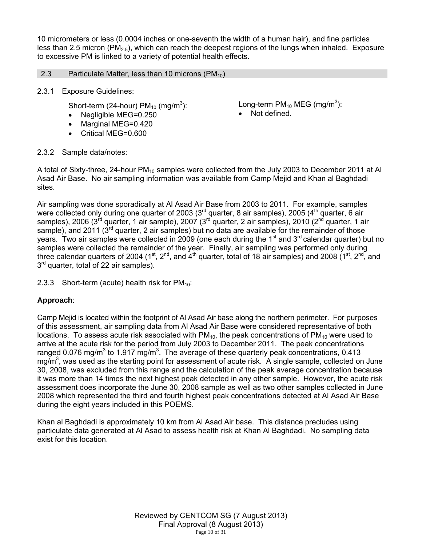10 micrometers or less (0.0004 inches or one-seventh the width of a human hair), and fine particles less than 2.5 micron ( $PM<sub>2.5</sub>$ ), which can reach the deepest regions of the lungs when inhaled. Exposure to excessive PM is linked to a variety of potential health effects.

# 2.3 Particulate Matter, less than 10 microns  $(PM_{10})$

2.3.1 Exposure Guidelines:

Short-term (24-hour)  $PM_{10}$  (mg/m<sup>3</sup>):

- Negligible MEG=0.250
- Marginal MEG=0.420
- Critical MEG=0.600

Long-term PM $_{10}$  MEG (mg/m $^3$ ):

• Not defined.

2.3.2 Sample data/notes:

A total of Sixty-three, 24-hour PM<sub>10</sub> samples were collected from the July 2003 to December 2011 at Al Asad Air Base. No air sampling information was available from Camp Mejid and Khan al Baghdadi sites.

Air sampling was done sporadically at Al Asad Air Base from 2003 to 2011. For example, samples were collected only during one quarter of 2003 ( $3<sup>rd</sup>$  quarter, 8 air samples), 2005 ( $4<sup>th</sup>$  quarter, 6 air samples), 2006 (3<sup>rd</sup> quarter, 1 air sample), 2007 (3<sup>rd</sup> quarter, 2 air samples), 2010 (2<sup>nd</sup> quarter, 1 air sample), and 2011 ( $3<sup>rd</sup>$  quarter, 2 air samples) but no data are available for the remainder of those years. Two air samples were collected in 2009 (one each during the 1<sup>st</sup> and 3<sup>rd</sup> calendar quarter) but no samples were collected the remainder of the year. Finally, air sampling was performed only during three calendar quarters of 2004 (1<sup>st</sup>, 2<sup>nd</sup>, and 4<sup>th</sup> quarter, total of 18 air samples) and 2008 (1<sup>st</sup>, 2<sup>nd</sup>, and  $3<sup>rd</sup>$  quarter, total of 22 air samples).

2.3.3 Short-term (acute) health risk for  $PM_{10}$ :

# **Approach**:

Camp Mejid is located within the footprint of Al Asad Air base along the northern perimeter. For purposes of this assessment, air sampling data from Al Asad Air Base were considered representative of both locations. To assess acute risk associated with  $PM_{10}$ , the peak concentrations of  $PM_{10}$  were used to arrive at the acute risk for the period from July 2003 to December 2011. The peak concentrations ranged 0.076 mg/m<sup>3</sup> to 1.917 mg/m<sup>3</sup>. The average of these quarterly peak concentrations, 0.413  $mg/m<sup>3</sup>$ , was used as the starting point for assessment of acute risk. A single sample, collected on June 30, 2008, was excluded from this range and the calculation of the peak average concentration because it was more than 14 times the next highest peak detected in any other sample. However, the acute risk assessment does incorporate the June 30, 2008 sample as well as two other samples collected in June 2008 which represented the third and fourth highest peak concentrations detected at Al Asad Air Base during the eight years included in this POEMS.

Khan al Baghdadi is approximately 10 km from Al Asad Air base. This distance precludes using particulate data generated at Al Asad to assess health risk at Khan Al Baghdadi. No sampling data exist for this location.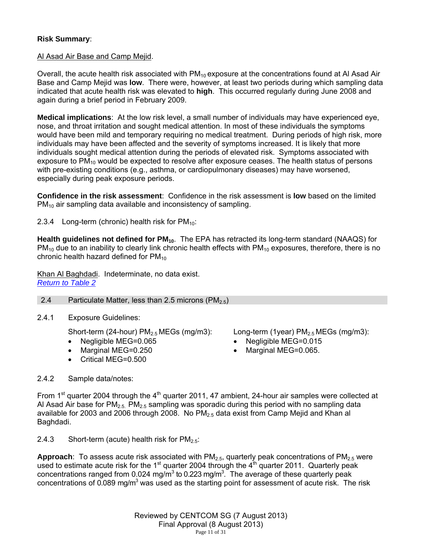# **Risk Summary**:

# Al Asad Air Base and Camp Mejid.

Overall, the acute health risk associated with  $PM_{10}$  exposure at the concentrations found at Al Asad Air Base and Camp Mejid was **low**. There were, however, at least two periods during which sampling data indicated that acute health risk was elevated to **high**. This occurred regularly during June 2008 and again during a brief period in February 2009.

**Medical implications**: At the low risk level, a small number of individuals may have experienced eye, nose, and throat irritation and sought medical attention. In most of these individuals the symptoms would have been mild and temporary requiring no medical treatment. During periods of high risk, more individuals may have been affected and the severity of symptoms increased. It is likely that more individuals sought medical attention during the periods of elevated risk. Symptoms associated with exposure to  $PM_{10}$  would be expected to resolve after exposure ceases. The health status of persons with pre-existing conditions (e.g., asthma, or cardiopulmonary diseases) may have worsened, especially during peak exposure periods.

**Confidence in the risk assessment**: Confidence in the risk assessment is **low** based on the limited  $PM_{10}$  air sampling data available and inconsistency of sampling.

2.3.4 Long-term (chronic) health risk for  $PM_{10}$ :

Health guidelines not defined for PM<sub>10</sub>. The EPA has retracted its long-term standard (NAAQS) for  $PM_{10}$  due to an inability to clearly link chronic health effects with  $PM_{10}$  exposures, therefore, there is no chronic health hazard defined for  $PM_{10}$ 

Khan Al Baghdadi. Indeterminate, no data exist. *Return to Table 2*

2.4 Particulate Matter, less than 2.5 microns  $(PM_{2.5})$ 

2.4.1 Exposure Guidelines:

Short-term (24-hour)  $PM<sub>2.5</sub> MEGs$  (mg/m3):

- Negligible MEG=0.065
- Marginal MEG=0.250
- Critical MEG=0.500

Long-term (1year)  $PM<sub>2.5</sub> MEGs$  (mg/m3):

- Negligible MEG=0.015
- Marginal MEG=0.065.

2.4.2 Sample data/notes:

From 1<sup>st</sup> quarter 2004 through the 4<sup>th</sup> quarter 2011, 47 ambient, 24-hour air samples were collected at Al Asad Air base for  $PM_{2.5}$  PM<sub>2.5</sub> sampling was sporadic during this period with no sampling data available for 2003 and 2006 through 2008. No  $PM<sub>2.5</sub>$  data exist from Camp Mejid and Khan al Baghdadi.

2.4.3 Short-term (acute) health risk for  $PM_{2.5}$ :

**Approach**: To assess acute risk associated with PM<sub>2.5</sub>, quarterly peak concentrations of PM<sub>2.5</sub> were used to estimate acute risk for the 1<sup>st</sup> quarter 2004 through the  $4<sup>th</sup>$  quarter 2011. Quarterly peak concentrations ranged from 0.024 mg/m<sup>3</sup> to 0.223 mg/m<sup>3</sup>. The average of these quarterly peak concentrations of 0.089 mg/m<sup>3</sup> was used as the starting point for assessment of acute risk. The risk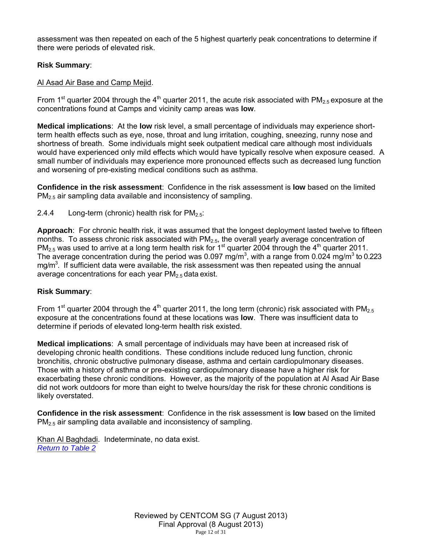assessment was then repeated on each of the 5 highest quarterly peak concentrations to determine if there were periods of elevated risk.

# **Risk Summary**:

# Al Asad Air Base and Camp Mejid.

From 1<sup>st</sup> quarter 2004 through the 4<sup>th</sup> quarter 2011, the acute risk associated with PM<sub>2.5</sub> exposure at the concentrations found at Camps and vicinity camp areas was **low**.

**Medical implications**: At the **low** risk level, a small percentage of individuals may experience shortterm health effects such as eye, nose, throat and lung irritation, coughing, sneezing, runny nose and shortness of breath. Some individuals might seek outpatient medical care although most individuals would have experienced only mild effects which would have typically resolve when exposure ceased. A small number of individuals may experience more pronounced effects such as decreased lung function and worsening of pre-existing medical conditions such as asthma.

**Confidence in the risk assessment**: Confidence in the risk assessment is **low** based on the limited PM2.5 air sampling data available and inconsistency of sampling.

2.4.4 Long-term (chronic) health risk for  $PM_{2.5}$ :

**Approach**: For chronic health risk, it was assumed that the longest deployment lasted twelve to fifteen months. To assess chronic risk associated with  $PM<sub>2.5</sub>$ , the overall yearly average concentration of  $PM_{2.5}$  was used to arrive at a long term health risk for 1<sup>st</sup> quarter 2004 through the 4<sup>th</sup> quarter 2011. The average concentration during the period was 0.097 mg/m<sup>3</sup>, with a range from 0.024 mg/m<sup>3</sup> to 0.223 mg/m<sup>3</sup>. If sufficient data were available, the risk assessment was then repeated using the annual average concentrations for each year  $PM<sub>2.5</sub>$  data exist.

# **Risk Summary**:

From 1<sup>st</sup> quarter 2004 through the 4<sup>th</sup> quarter 2011, the long term (chronic) risk associated with PM<sub>2.5</sub> exposure at the concentrations found at these locations was **low**. There was insufficient data to determine if periods of elevated long-term health risk existed.

**Medical implications**: A small percentage of individuals may have been at increased risk of developing chronic health conditions. These conditions include reduced lung function, chronic bronchitis, chronic obstructive pulmonary disease, asthma and certain cardiopulmonary diseases. Those with a history of asthma or pre-existing cardiopulmonary disease have a higher risk for exacerbating these chronic conditions. However, as the majority of the population at Al Asad Air Base did not work outdoors for more than eight to twelve hours/day the risk for these chronic conditions is likely overstated.

**Confidence in the risk assessment**: Confidence in the risk assessment is **low** based on the limited  $PM<sub>2.5</sub>$  air sampling data available and inconsistency of sampling.

Khan Al Baghdadi. Indeterminate, no data exist. *Return to Table 2*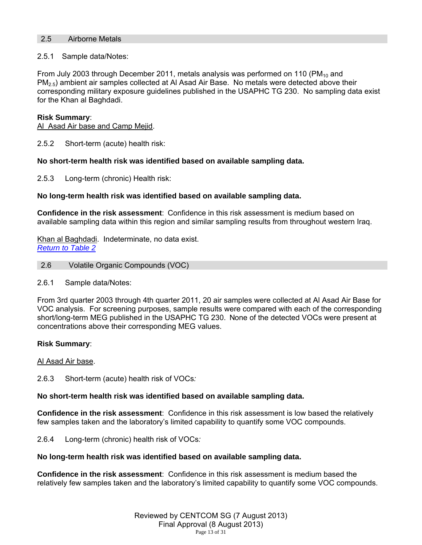## 2.5 Airborne Metals

## 2.5.1 Sample data/Notes:

From July 2003 through December 2011, metals analysis was performed on 110 (PM $_{10}$  and  $PM<sub>2.5</sub>$ ) ambient air samples collected at Al Asad Air Base. No metals were detected above their corresponding military exposure guidelines published in the USAPHC TG 230. No sampling data exist for the Khan al Baghdadi.

### **Risk Summary**:

Al Asad Air base and Camp Mejid.

2.5.2 Short-term (acute) health risk:

# **No short-term health risk was identified based on available sampling data.**

2.5.3 Long-term (chronic) Health risk:

# **No long-term health risk was identified based on available sampling data.**

**Confidence in the risk assessment**: Confidence in this risk assessment is medium based on available sampling data within this region and similar sampling results from throughout western Iraq.

Khan al Baghdadi. Indeterminate, no data exist. *Return to Table 2*

- 2.6 Volatile Organic Compounds (VOC)
- 2.6.1 Sample data/Notes:

From 3rd quarter 2003 through 4th quarter 2011, 20 air samples were collected at Al Asad Air Base for VOC analysis. For screening purposes, sample results were compared with each of the corresponding short/long-term MEG published in the USAPHC TG 230. None of the detected VOCs were present at concentrations above their corresponding MEG values.

### **Risk Summary**:

### Al Asad Air base.

2.6.3 Short-term (acute) health risk of VOCs*:* 

# **No short-term health risk was identified based on available sampling data.**

**Confidence in the risk assessment**: Confidence in this risk assessment is low based the relatively few samples taken and the laboratory's limited capability to quantify some VOC compounds.

2.6.4 Long-term (chronic) health risk of VOCs*:* 

### **No long-term health risk was identified based on available sampling data.**

**Confidence in the risk assessment**: Confidence in this risk assessment is medium based the relatively few samples taken and the laboratory's limited capability to quantify some VOC compounds.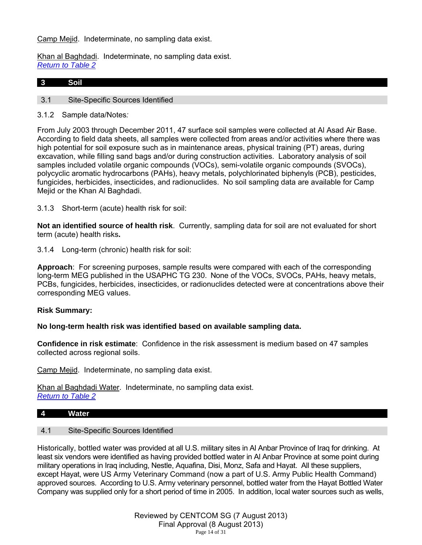# Camp Mejid. Indeterminate, no sampling data exist.

Khan al Baghdadi. Indeterminate, no sampling data exist. *Return to Table 2*

### **3 Soil**

### 3.1 Site-Specific Sources Identified

3.1.2 Sample data/Notes*:* 

From July 2003 through December 2011, 47 surface soil samples were collected at Al Asad Air Base. According to field data sheets, all samples were collected from areas and/or activities where there was high potential for soil exposure such as in maintenance areas, physical training (PT) areas, during excavation, while filling sand bags and/or during construction activities. Laboratory analysis of soil samples included volatile organic compounds (VOCs), semi-volatile organic compounds (SVOCs), polycyclic aromatic hydrocarbons (PAHs), heavy metals, polychlorinated biphenyls (PCB), pesticides, fungicides, herbicides, insecticides, and radionuclides. No soil sampling data are available for Camp Mejid or the Khan Al Baghdadi.

3.1.3 Short-term (acute) health risk for soil:

**Not an identified source of health risk**. Currently, sampling data for soil are not evaluated for short term (acute) health risks**.**

3.1.4 Long-term (chronic) health risk for soil:

**Approach**: For screening purposes, sample results were compared with each of the corresponding long-term MEG published in the USAPHC TG 230. None of the VOCs, SVOCs, PAHs, heavy metals, PCBs, fungicides, herbicides, insecticides, or radionuclides detected were at concentrations above their corresponding MEG values.

### **Risk Summary:**

**No long-term health risk was identified based on available sampling data.** 

**Confidence in risk estimate**: Confidence in the risk assessment is medium based on 47 samples collected across regional soils.

Camp Mejid. Indeterminate, no sampling data exist.

Khan al Baghdadi Water. Indeterminate, no sampling data exist. *Return to Table 2*

### **4 Water**

### 4.1 Site-Specific Sources Identified

Historically, bottled water was provided at all U.S. military sites in Al Anbar Province of Iraq for drinking. At least six vendors were identified as having provided bottled water in Al Anbar Province at some point during military operations in Iraq including, Nestle, Aquafina, Disi, Monz, Safa and Hayat. All these suppliers, except Hayat, were US Army Veterinary Command (now a part of U.S. Army Public Health Command) approved sources. According to U.S. Army veterinary personnel, bottled water from the Hayat Bottled Water Company was supplied only for a short period of time in 2005. In addition, local water sources such as wells,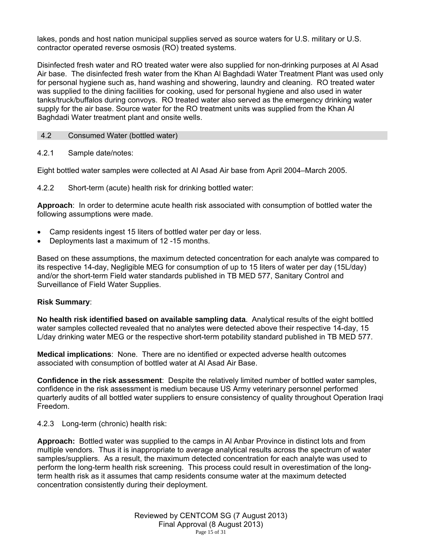lakes, ponds and host nation municipal supplies served as source waters for U.S. military or U.S. contractor operated reverse osmosis (RO) treated systems.

Disinfected fresh water and RO treated water were also supplied for non-drinking purposes at Al Asad Air base. The disinfected fresh water from the Khan Al Baghdadi Water Treatment Plant was used only for personal hygiene such as, hand washing and showering, laundry and cleaning. RO treated water was supplied to the dining facilities for cooking, used for personal hygiene and also used in water tanks/truck/buffalos during convoys. RO treated water also served as the emergency drinking water supply for the air base. Source water for the RO treatment units was supplied from the Khan Al Baghdadi Water treatment plant and onsite wells.

### 4.2 Consumed Water (bottled water)

# 4.2.1 Sample date/notes:

Eight bottled water samples were collected at Al Asad Air base from April 2004–March 2005.

4.2.2 Short-term (acute) health risk for drinking bottled water:

**Approach**: In order to determine acute health risk associated with consumption of bottled water the following assumptions were made.

- Camp residents ingest 15 liters of bottled water per day or less.
- Deployments last a maximum of 12 -15 months.

Based on these assumptions, the maximum detected concentration for each analyte was compared to its respective 14-day, Negligible MEG for consumption of up to 15 liters of water per day (15L/day) and/or the short-term Field water standards published in TB MED 577, Sanitary Control and Surveillance of Field Water Supplies.

### **Risk Summary**:

**No health risk identified based on available sampling data**. Analytical results of the eight bottled water samples collected revealed that no analytes were detected above their respective 14-day, 15 L/day drinking water MEG or the respective short-term potability standard published in TB MED 577.

**Medical implications**: None. There are no identified or expected adverse health outcomes associated with consumption of bottled water at Al Asad Air Base.

**Confidence in the risk assessment**: Despite the relatively limited number of bottled water samples, confidence in the risk assessment is medium because US Army veterinary personnel performed quarterly audits of all bottled water suppliers to ensure consistency of quality throughout Operation Iraqi Freedom.

# 4.2.3 Long-term (chronic) health risk:

**Approach:** Bottled water was supplied to the camps in Al Anbar Province in distinct lots and from multiple vendors. Thus it is inappropriate to average analytical results across the spectrum of water samples/suppliers. As a result, the maximum detected concentration for each analyte was used to perform the long-term health risk screening. This process could result in overestimation of the longterm health risk as it assumes that camp residents consume water at the maximum detected concentration consistently during their deployment.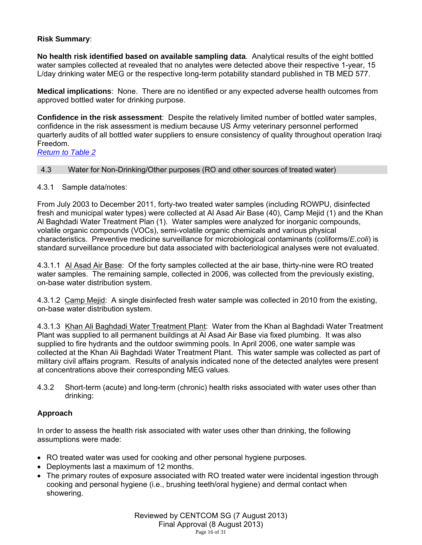# **Risk Summary**:

**No health risk identified based on available sampling data**. Analytical results of the eight bottled water samples collected at revealed that no analytes were detected above their respective 1-year, 15 L/day drinking water MEG or the respective long-term potability standard published in TB MED 577.

**Medical implications**: None. There are no identified or any expected adverse health outcomes from approved bottled water for drinking purpose.

**Confidence in the risk assessment**: Despite the relatively limited number of bottled water samples, confidence in the risk assessment is medium because US Army veterinary personnel performed quarterly audits of all bottled water suppliers to ensure consistency of quality throughout operation Iraqi Freedom.

*Return to Table 2*

# 4.3 Water for Non-Drinking/Other purposes (RO and other sources of treated water)

# 4.3.1 Sample data/notes:

From July 2003 to December 2011, forty-two treated water samples (including ROWPU, disinfected fresh and municipal water types) were collected at Al Asad Air Base (40), Camp Mejid (1) and the Khan Al Baghdadi Water Treatment Plan (1). Water samples were analyzed for inorganic compounds, volatile organic compounds (VOCs), semi-volatile organic chemicals and various physical characteristics. Preventive medicine surveillance for microbiological contaminants (coliforms/*E.coli*) is standard surveillance procedure but data associated with bacteriological analyses were not evaluated.

4.3.1.1 Al Asad Air Base: Of the forty samples collected at the air base, thirty-nine were RO treated water samples. The remaining sample, collected in 2006, was collected from the previously existing, on-base water distribution system.

4.3.1.2 Camp Mejid: A single disinfected fresh water sample was collected in 2010 from the existing, on-base water distribution system.

4.3.1.3 Khan Ali Baghdadi Water Treatment Plant: Water from the Khan al Baghdadi Water Treatment Plant was supplied to all permanent buildings at Al Asad Air Base via fixed plumbing. It was also supplied to fire hydrants and the outdoor swimming pools. In April 2006, one water sample was collected at the Khan Ali Baghdadi Water Treatment Plant. This water sample was collected as part of military civil affairs program. Results of analysis indicated none of the detected analytes were present at concentrations above their corresponding MEG values.

4.3.2 Short-term (acute) and long-term (chronic) health risks associated with water uses other than drinking:

# **Approach**

In order to assess the health risk associated with water uses other than drinking, the following assumptions were made:

- RO treated water was used for cooking and other personal hygiene purposes.
- Deployments last a maximum of 12 months.
- The primary routes of exposure associated with RO treated water were incidental ingestion through cooking and personal hygiene (i.e., brushing teeth/oral hygiene) and dermal contact when showering.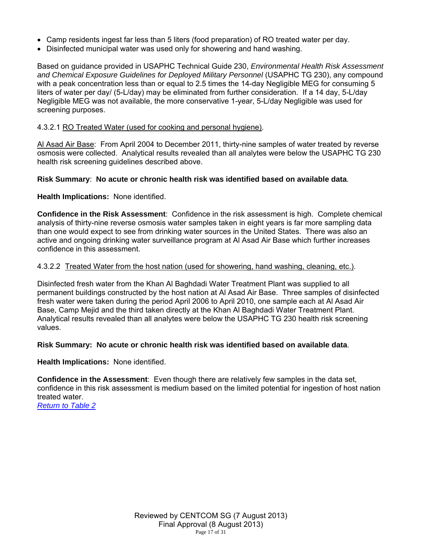- Camp residents ingest far less than 5 liters (food preparation) of RO treated water per day.
- Disinfected municipal water was used only for showering and hand washing.

Based on guidance provided in USAPHC Technical Guide 230, *Environmental Health Risk Assessment and Chemical Exposure Guidelines for Deployed Military Personnel* (USAPHC TG 230), any compound with a peak concentration less than or equal to 2.5 times the 14-day Negligible MEG for consuming 5 liters of water per day/ (5-L/day) may be eliminated from further consideration. If a 14 day, 5-L/day Negligible MEG was not available, the more conservative 1-year, 5-L/day Negligible was used for screening purposes.

# 4.3.2.1 RO Treated Water (used for cooking and personal hygiene).

Al Asad Air Base: From April 2004 to December 2011, thirty-nine samples of water treated by reverse osmosis were collected. Analytical results revealed than all analytes were below the USAPHC TG 230 health risk screening guidelines described above.

# **Risk Summary**: **No acute or chronic health risk was identified based on available data**.

# **Health Implications:** None identified.

**Confidence in the Risk Assessment**: Confidence in the risk assessment is high. Complete chemical analysis of thirty-nine reverse osmosis water samples taken in eight years is far more sampling data than one would expect to see from drinking water sources in the United States. There was also an active and ongoing drinking water surveillance program at Al Asad Air Base which further increases confidence in this assessment.

# 4.3.2.2 Treated Water from the host nation (used for showering, hand washing, cleaning, etc.).

Disinfected fresh water from the Khan Al Baghdadi Water Treatment Plant was supplied to all permanent buildings constructed by the host nation at Al Asad Air Base. Three samples of disinfected fresh water were taken during the period April 2006 to April 2010, one sample each at Al Asad Air Base, Camp Mejid and the third taken directly at the Khan Al Baghdadi Water Treatment Plant. Analytical results revealed than all analytes were below the USAPHC TG 230 health risk screening values.

### **Risk Summary: No acute or chronic health risk was identified based on available data**.

### **Health Implications:** None identified.

**Confidence in the Assessment**: Even though there are relatively few samples in the data set, confidence in this risk assessment is medium based on the limited potential for ingestion of host nation treated water. *Return to Table 2*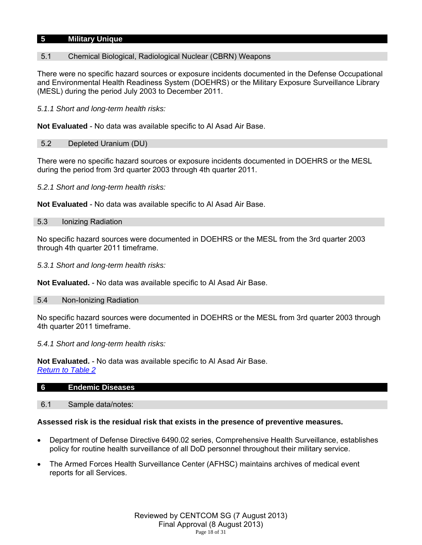## **5 Military Unique**

# 5.1 Chemical Biological, Radiological Nuclear (CBRN) Weapons

There were no specific hazard sources or exposure incidents documented in the Defense Occupational and Environmental Health Readiness System (DOEHRS) or the Military Exposure Surveillance Library (MESL) during the period July 2003 to December 2011.

*5.1.1 Short and long-term health risks:* 

**Not Evaluated** - No data was available specific to Al Asad Air Base.

#### 5.2 Depleted Uranium (DU)

There were no specific hazard sources or exposure incidents documented in DOEHRS or the MESL during the period from 3rd quarter 2003 through 4th quarter 2011.

*5.2.1 Short and long-term health risks:* 

**Not Evaluated** - No data was available specific to Al Asad Air Base.

#### 5.3 Ionizing Radiation

No specific hazard sources were documented in DOEHRS or the MESL from the 3rd quarter 2003 through 4th quarter 2011 timeframe.

*5.3.1 Short and long-term health risks:* 

**Not Evaluated.** - No data was available specific to Al Asad Air Base.

#### 5.4 Non-Ionizing Radiation

No specific hazard sources were documented in DOEHRS or the MESL from 3rd quarter 2003 through 4th quarter 2011 timeframe.

#### *5.4.1 Short and long-term health risks:*

**Not Evaluated.** - No data was available specific to Al Asad Air Base. *Return to Table 2*

| 6 | <b>Endemic Diseases</b> |  |  |
|---|-------------------------|--|--|
|   |                         |  |  |

6.1 Sample data/notes:

### **Assessed risk is the residual risk that exists in the presence of preventive measures.**

- Department of Defense Directive 6490.02 series, Comprehensive Health Surveillance, establishes policy for routine health surveillance of all DoD personnel throughout their military service.
- The Armed Forces Health Surveillance Center (AFHSC) maintains archives of medical event reports for all Services.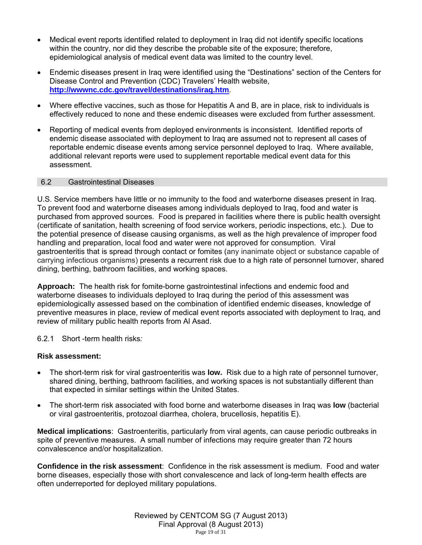- Medical event reports identified related to deployment in Iraq did not identify specific locations within the country, nor did they describe the probable site of the exposure; therefore, epidemiological analysis of medical event data was limited to the country level.
- Endemic diseases present in Iraq were identified using the "Destinations" section of the Centers for Disease Control and Prevention (CDC) Travelers' Health website, **http://wwwnc.cdc.gov/travel/destinations/iraq.htm**.
- Where effective vaccines, such as those for Hepatitis A and B, are in place, risk to individuals is effectively reduced to none and these endemic diseases were excluded from further assessment.
- Reporting of medical events from deployed environments is inconsistent. Identified reports of endemic disease associated with deployment to Iraq are assumed not to represent all cases of reportable endemic disease events among service personnel deployed to Iraq. Where available, additional relevant reports were used to supplement reportable medical event data for this assessment.

# 6.2 Gastrointestinal Diseases

U.S. Service members have little or no immunity to the food and waterborne diseases present in Iraq. To prevent food and waterborne diseases among individuals deployed to Iraq, food and water is purchased from approved sources. Food is prepared in facilities where there is public health oversight (certificate of sanitation, health screening of food service workers, periodic inspections, etc.). Due to the potential presence of disease causing organisms, as well as the high prevalence of improper food handling and preparation, local food and water were not approved for consumption. Viral gastroenteritis that is spread through contact or fomites (any inanimate object or substance capable of carrying infectious organisms) presents a recurrent risk due to a high rate of personnel turnover, shared dining, berthing, bathroom facilities, and working spaces.

**Approach:** The health risk for fomite-borne gastrointestinal infections and endemic food and waterborne diseases to individuals deployed to Iraq during the period of this assessment was epidemiologically assessed based on the combination of identified endemic diseases, knowledge of preventive measures in place, review of medical event reports associated with deployment to Iraq, and review of military public health reports from Al Asad.

6.2.1 Short -term health risks*:* 

# **Risk assessment:**

- The short-term risk for viral gastroenteritis was **low.** Risk due to a high rate of personnel turnover, shared dining, berthing, bathroom facilities, and working spaces is not substantially different than that expected in similar settings within the United States.
- The short-term risk associated with food borne and waterborne diseases in Iraq was **low** (bacterial or viral gastroenteritis, protozoal diarrhea, cholera, brucellosis, hepatitis E).

**Medical implications**: Gastroenteritis, particularly from viral agents, can cause periodic outbreaks in spite of preventive measures. A small number of infections may require greater than 72 hours convalescence and/or hospitalization.

**Confidence in the risk assessment**: Confidence in the risk assessment is medium. Food and water borne diseases, especially those with short convalescence and lack of long-term health effects are often underreported for deployed military populations.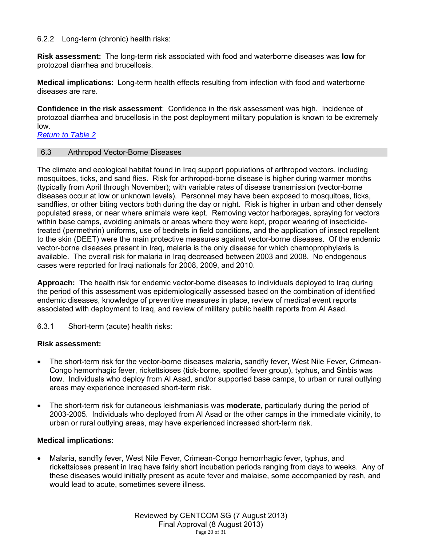# 6.2.2 Long-term (chronic) health risks:

**Risk assessment:** The long-term risk associated with food and waterborne diseases was **low** for protozoal diarrhea and brucellosis.

**Medical implications**: Long-term health effects resulting from infection with food and waterborne diseases are rare.

**Confidence in the risk assessment**: Confidence in the risk assessment was high. Incidence of protozoal diarrhea and brucellosis in the post deployment military population is known to be extremely low.

*Return to Table 2*

### 6.3 Arthropod Vector-Borne Diseases

The climate and ecological habitat found in Iraq support populations of arthropod vectors, including mosquitoes, ticks, and sand flies. Risk for arthropod-borne disease is higher during warmer months (typically from April through November); with variable rates of disease transmission (vector-borne diseases occur at low or unknown levels). Personnel may have been exposed to mosquitoes, ticks, sandflies, or other biting vectors both during the day or night. Risk is higher in urban and other densely populated areas, or near where animals were kept. Removing vector harborages, spraying for vectors within base camps, avoiding animals or areas where they were kept, proper wearing of insecticidetreated (permethrin) uniforms, use of bednets in field conditions, and the application of insect repellent to the skin (DEET) were the main protective measures against vector-borne diseases. Of the endemic vector-borne diseases present in Iraq, malaria is the only disease for which chemoprophylaxis is available. The overall risk for malaria in Iraq decreased between 2003 and 2008. No endogenous cases were reported for Iraqi nationals for 2008, 2009, and 2010.

**Approach:** The health risk for endemic vector-borne diseases to individuals deployed to Iraq during the period of this assessment was epidemiologically assessed based on the combination of identified endemic diseases, knowledge of preventive measures in place, review of medical event reports associated with deployment to Iraq, and review of military public health reports from Al Asad.

6.3.1 Short-term (acute) health risks:

### **Risk assessment:**

- The short-term risk for the vector-borne diseases malaria, sandfly fever, West Nile Fever, Crimean-Congo hemorrhagic fever, rickettsioses (tick-borne, spotted fever group), typhus, and Sinbis was **low**. Individuals who deploy from Al Asad, and/or supported base camps, to urban or rural outlying areas may experience increased short-term risk.
- The short-term risk for cutaneous leishmaniasis was **moderate**, particularly during the period of 2003-2005. Individuals who deployed from Al Asad or the other camps in the immediate vicinity, to urban or rural outlying areas, may have experienced increased short-term risk.

# **Medical implications**:

 Malaria, sandfly fever, West Nile Fever, Crimean-Congo hemorrhagic fever, typhus, and rickettsioses present in Iraq have fairly short incubation periods ranging from days to weeks. Any of these diseases would initially present as acute fever and malaise, some accompanied by rash, and would lead to acute, sometimes severe illness.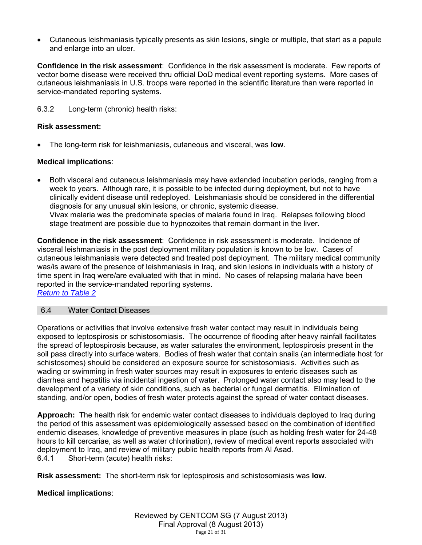Cutaneous leishmaniasis typically presents as skin lesions, single or multiple, that start as a papule and enlarge into an ulcer.

**Confidence in the risk assessment**: Confidence in the risk assessment is moderate. Few reports of vector borne disease were received thru official DoD medical event reporting systems. More cases of cutaneous leishmaniasis in U.S. troops were reported in the scientific literature than were reported in service-mandated reporting systems.

6.3.2 Long-term (chronic) health risks:

# **Risk assessment:**

The long-term risk for leishmaniasis, cutaneous and visceral, was **low**.

# **Medical implications**:

 Both visceral and cutaneous leishmaniasis may have extended incubation periods, ranging from a week to years. Although rare, it is possible to be infected during deployment, but not to have clinically evident disease until redeployed. Leishmaniasis should be considered in the differential diagnosis for any unusual skin lesions, or chronic, systemic disease. Vivax malaria was the predominate species of malaria found in Iraq. Relapses following blood stage treatment are possible due to hypnozoites that remain dormant in the liver.

**Confidence in the risk assessment**: Confidence in risk assessment is moderate. Incidence of visceral leishmaniasis in the post deployment military population is known to be low. Cases of cutaneous leishmaniasis were detected and treated post deployment. The military medical community was/is aware of the presence of leishmaniasis in Iraq, and skin lesions in individuals with a history of time spent in Iraq were/are evaluated with that in mind. No cases of relapsing malaria have been reported in the service-mandated reporting systems.

*Return to Table 2*

### 6.4 Water Contact Diseases

Operations or activities that involve extensive fresh water contact may result in individuals being exposed to leptospirosis or schistosomiasis. The occurrence of flooding after heavy rainfall facilitates the spread of leptospirosis because, as water saturates the environment, leptospirosis present in the soil pass directly into surface waters. Bodies of fresh water that contain snails (an intermediate host for schistosomes) should be considered an exposure source for schistosomiasis. Activities such as wading or swimming in fresh water sources may result in exposures to enteric diseases such as diarrhea and hepatitis via incidental ingestion of water. Prolonged water contact also may lead to the development of a variety of skin conditions, such as bacterial or fungal dermatitis. Elimination of standing, and/or open, bodies of fresh water protects against the spread of water contact diseases.

**Approach:** The health risk for endemic water contact diseases to individuals deployed to Iraq during the period of this assessment was epidemiologically assessed based on the combination of identified endemic diseases, knowledge of preventive measures in place (such as holding fresh water for 24-48 hours to kill cercariae, as well as water chlorination), review of medical event reports associated with deployment to Iraq, and review of military public health reports from Al Asad. 6.4.1 Short-term (acute) health risks:

**Risk assessment:** The short-term risk for leptospirosis and schistosomiasis was **low**.

# **Medical implications**: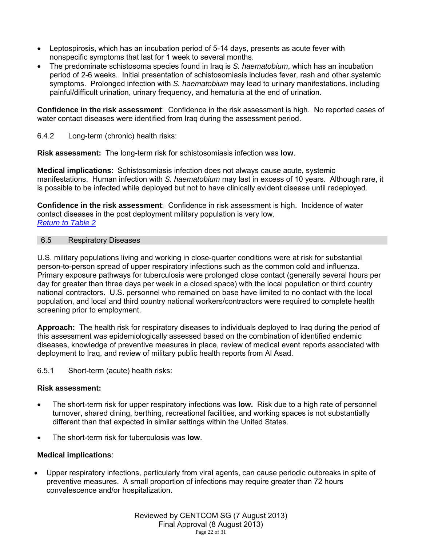- Leptospirosis, which has an incubation period of 5-14 days, presents as acute fever with nonspecific symptoms that last for 1 week to several months.
- The predominate schistosoma species found in Iraq is *S. haematobium*, which has an incubation period of 2-6 weeks. Initial presentation of schistosomiasis includes fever, rash and other systemic symptoms. Prolonged infection with *S. haematobium* may lead to urinary manifestations, including painful/difficult urination, urinary frequency, and hematuria at the end of urination.

**Confidence in the risk assessment**: Confidence in the risk assessment is high. No reported cases of water contact diseases were identified from Iraq during the assessment period.

6.4.2 Long-term (chronic) health risks:

**Risk assessment:** The long-term risk for schistosomiasis infection was **low**.

**Medical implications**: Schistosomiasis infection does not always cause acute, systemic manifestations. Human infection with *S. haematobium* may last in excess of 10 years. Although rare, it is possible to be infected while deployed but not to have clinically evident disease until redeployed.

**Confidence in the risk assessment**: Confidence in risk assessment is high. Incidence of water contact diseases in the post deployment military population is very low. *Return to Table 2*

# 6.5 Respiratory Diseases

U.S. military populations living and working in close-quarter conditions were at risk for substantial person-to-person spread of upper respiratory infections such as the common cold and influenza. Primary exposure pathways for tuberculosis were prolonged close contact (generally several hours per day for greater than three days per week in a closed space) with the local population or third country national contractors. U.S. personnel who remained on base have limited to no contact with the local population, and local and third country national workers/contractors were required to complete health screening prior to employment.

**Approach:** The health risk for respiratory diseases to individuals deployed to Iraq during the period of this assessment was epidemiologically assessed based on the combination of identified endemic diseases, knowledge of preventive measures in place, review of medical event reports associated with deployment to Iraq, and review of military public health reports from Al Asad.

6.5.1 Short-term (acute) health risks:

# **Risk assessment:**

- The short-term risk for upper respiratory infections was **low.** Risk due to a high rate of personnel turnover, shared dining, berthing, recreational facilities, and working spaces is not substantially different than that expected in similar settings within the United States.
- The short-term risk for tuberculosis was **low**.

# **Medical implications**:

 Upper respiratory infections, particularly from viral agents, can cause periodic outbreaks in spite of preventive measures. A small proportion of infections may require greater than 72 hours convalescence and/or hospitalization.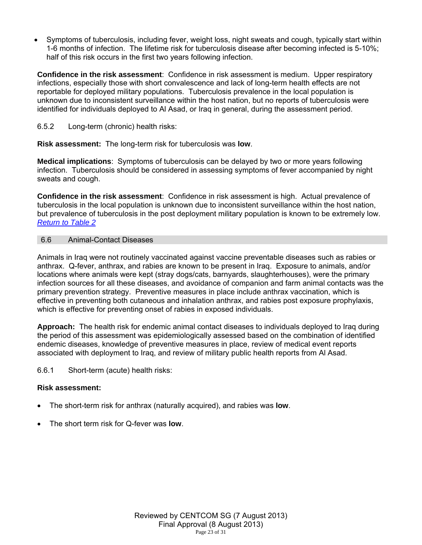Symptoms of tuberculosis, including fever, weight loss, night sweats and cough, typically start within 1-6 months of infection. The lifetime risk for tuberculosis disease after becoming infected is 5-10%; half of this risk occurs in the first two years following infection.

**Confidence in the risk assessment**: Confidence in risk assessment is medium. Upper respiratory infections, especially those with short convalescence and lack of long-term health effects are not reportable for deployed military populations. Tuberculosis prevalence in the local population is unknown due to inconsistent surveillance within the host nation, but no reports of tuberculosis were identified for individuals deployed to Al Asad, or Iraq in general, during the assessment period.

6.5.2 Long-term (chronic) health risks:

**Risk assessment:** The long-term risk for tuberculosis was **low**.

**Medical implications**: Symptoms of tuberculosis can be delayed by two or more years following infection. Tuberculosis should be considered in assessing symptoms of fever accompanied by night sweats and cough.

**Confidence in the risk assessment**: Confidence in risk assessment is high. Actual prevalence of tuberculosis in the local population is unknown due to inconsistent surveillance within the host nation, but prevalence of tuberculosis in the post deployment military population is known to be extremely low. *Return to Table 2*

# 6.6 Animal-Contact Diseases

Animals in Iraq were not routinely vaccinated against vaccine preventable diseases such as rabies or anthrax. Q-fever, anthrax, and rabies are known to be present in Iraq. Exposure to animals, and/or locations where animals were kept (stray dogs/cats, barnyards, slaughterhouses), were the primary infection sources for all these diseases, and avoidance of companion and farm animal contacts was the primary prevention strategy. Preventive measures in place include anthrax vaccination, which is effective in preventing both cutaneous and inhalation anthrax, and rabies post exposure prophylaxis, which is effective for preventing onset of rabies in exposed individuals.

**Approach:** The health risk for endemic animal contact diseases to individuals deployed to Iraq during the period of this assessment was epidemiologically assessed based on the combination of identified endemic diseases, knowledge of preventive measures in place, review of medical event reports associated with deployment to Iraq, and review of military public health reports from Al Asad.

6.6.1 Short-term (acute) health risks:

# **Risk assessment:**

- The short-term risk for anthrax (naturally acquired), and rabies was **low**.
- The short term risk for Q-fever was **low**.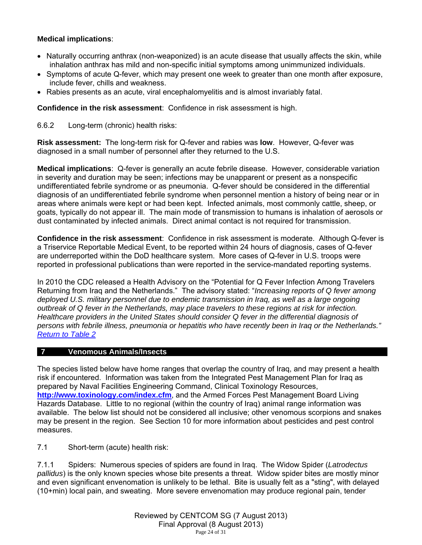# **Medical implications**:

- Naturally occurring anthrax (non-weaponized) is an acute disease that usually affects the skin, while inhalation anthrax has mild and non-specific initial symptoms among unimmunized individuals.
- Symptoms of acute Q-fever, which may present one week to greater than one month after exposure, include fever, chills and weakness.
- Rabies presents as an acute, viral encephalomyelitis and is almost invariably fatal.

**Confidence in the risk assessment**: Confidence in risk assessment is high.

6.6.2 Long-term (chronic) health risks:

**Risk assessment:** The long-term risk for Q-fever and rabies was **low**. However, Q-fever was diagnosed in a small number of personnel after they returned to the U.S.

**Medical implications**: Q-fever is generally an acute febrile disease. However, considerable variation in severity and duration may be seen; infections may be unapparent or present as a nonspecific undifferentiated febrile syndrome or as pneumonia. Q-fever should be considered in the differential diagnosis of an undifferentiated febrile syndrome when personnel mention a history of being near or in areas where animals were kept or had been kept. Infected animals, most commonly cattle, sheep, or goats, typically do not appear ill. The main mode of transmission to humans is inhalation of aerosols or dust contaminated by infected animals. Direct animal contact is not required for transmission.

**Confidence in the risk assessment**: Confidence in risk assessment is moderate. Although Q-fever is a Triservice Reportable Medical Event, to be reported within 24 hours of diagnosis, cases of Q-fever are underreported within the DoD healthcare system. More cases of Q-fever in U.S. troops were reported in professional publications than were reported in the service-mandated reporting systems.

In 2010 the CDC released a Health Advisory on the "Potential for Q Fever Infection Among Travelers Returning from Iraq and the Netherlands." The advisory stated: "*Increasing reports of Q fever among*  deployed U.S. military personnel due to endemic transmission in Iraq, as well as a large ongoing *outbreak of Q fever in the Netherlands, may place travelers to these regions at risk for infection. Healthcare providers in the United States should consider Q fever in the differential diagnosis of persons with febrile illness, pneumonia or hepatitis who have recently been in Iraq or the Netherlands." Return to Table 2*

### **7 Venomous Animals/Insects**

The species listed below have home ranges that overlap the country of Iraq, and may present a health risk if encountered. Information was taken from the Integrated Pest Management Plan for Iraq as prepared by Naval Facilities Engineering Command, Clinical Toxinology Resources, **http://www.toxinology.com/index.cfm**, and the Armed Forces Pest Management Board Living Hazards Database. Little to no regional (within the country of Iraq) animal range information was available. The below list should not be considered all inclusive; other venomous scorpions and snakes may be present in the region. See Section 10 for more information about pesticides and pest control measures.

7.1 Short-term (acute) health risk:

7.1.1 Spiders: Numerous species of spiders are found in Iraq. The Widow Spider (*Latrodectus pallidus*) is the only known species whose bite presents a threat. Widow spider bites are mostly minor and even significant envenomation is unlikely to be lethal. Bite is usually felt as a "sting", with delayed (10+min) local pain, and sweating. More severe envenomation may produce regional pain, tender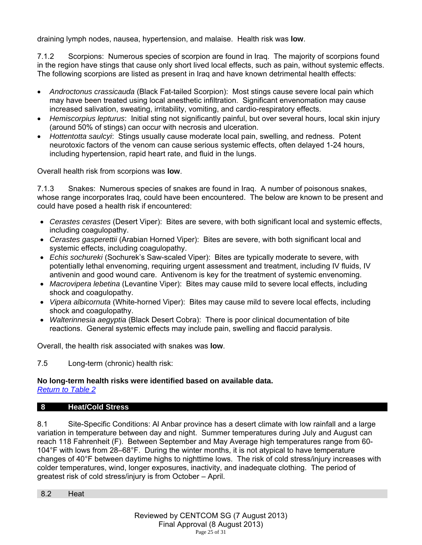draining lymph nodes, nausea, hypertension, and malaise. Health risk was **low**.

7.1.2 Scorpions: Numerous species of scorpion are found in Iraq. The majority of scorpions found in the region have stings that cause only short lived local effects, such as pain, without systemic effects. The following scorpions are listed as present in Iraq and have known detrimental health effects:

- *Androctonus crassicauda* (Black Fat-tailed Scorpion): Most stings cause severe local pain which may have been treated using local anesthetic infiltration. Significant envenomation may cause increased salivation, sweating, irritability, vomiting, and cardio-respiratory effects.
- *Hemiscorpius lepturus*: Initial sting not significantly painful, but over several hours, local skin injury (around 50% of stings) can occur with necrosis and ulceration.
- *Hottentotta saulcyi*: Stings usually cause moderate local pain, swelling, and redness. Potent neurotoxic factors of the venom can cause serious systemic effects, often delayed 1-24 hours, including hypertension, rapid heart rate, and fluid in the lungs.

Overall health risk from scorpions was **low**.

7.1.3 Snakes: Numerous species of snakes are found in Iraq. A number of poisonous snakes, whose range incorporates Iraq, could have been encountered. The below are known to be present and could have posed a health risk if encountered:

- *Cerastes cerastes* (Desert Viper): Bites are severe, with both significant local and systemic effects, including coagulopathy.
- *Cerastes gasperettii* (Arabian Horned Viper): Bites are severe, with both significant local and systemic effects, including coagulopathy.
- *Echis sochureki* (Sochurek's Saw-scaled Viper): Bites are typically moderate to severe, with potentially lethal envenoming, requiring urgent assessment and treatment, including IV fluids, IV antivenin and good wound care. Antivenom is key for the treatment of systemic envenoming.
- *Macrovipera lebetina* (Levantine Viper): Bites may cause mild to severe local effects, including shock and coagulopathy.
- *Vipera albicornuta* (White-horned Viper): Bites may cause mild to severe local effects, including shock and coagulopathy.
- *Walterinnesia aegyptia* (Black Desert Cobra): There is poor clinical documentation of bite reactions. General systemic effects may include pain, swelling and flaccid paralysis.

Overall, the health risk associated with snakes was **low**.

7.5 Long-term (chronic) health risk:

# **No long-term health risks were identified based on available data.**

*Return to Table 2*

# **8 Heat/Cold Stress**

8.1 Site-Specific Conditions: Al Anbar province has a desert climate with low rainfall and a large variation in temperature between day and night. Summer temperatures during July and August can reach 118 Fahrenheit (F). Between September and May Average high temperatures range from 60- 104°F with lows from 28–68°F. During the winter months, it is not atypical to have temperature changes of 40°F between daytime highs to nighttime lows. The risk of cold stress/injury increases with colder temperatures, wind, longer exposures, inactivity, and inadequate clothing. The period of greatest risk of cold stress/injury is from October – April.

8.2 Heat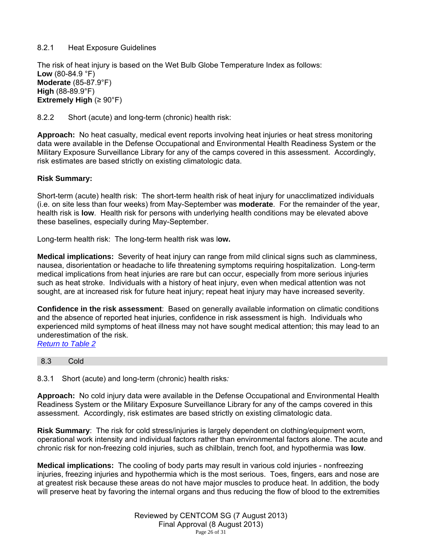# 8.2.1 Heat Exposure Guidelines

The risk of heat injury is based on the Wet Bulb Globe Temperature Index as follows: **Low** (80-84.9 °F) **Moderate** (85-87.9°F) **High** (88-89.9°F) **Extremely High** (≥ 90°F)

8.2.2 Short (acute) and long-term (chronic) health risk:

**Approach:** No heat casualty, medical event reports involving heat injuries or heat stress monitoring data were available in the Defense Occupational and Environmental Health Readiness System or the Military Exposure Surveillance Library for any of the camps covered in this assessment. Accordingly, risk estimates are based strictly on existing climatologic data.

# **Risk Summary:**

Short-term (acute) health risk: The short-term health risk of heat injury for unacclimatized individuals (i.e. on site less than four weeks) from May-September was **moderate**. For the remainder of the year, health risk is **low**. Health risk for persons with underlying health conditions may be elevated above these baselines, especially during May-September.

Long-term health risk: The long-term health risk was l**ow.** 

**Medical implications:** Severity of heat injury can range from mild clinical signs such as clamminess, nausea, disorientation or headache to life threatening symptoms requiring hospitalization. Long-term medical implications from heat injuries are rare but can occur, especially from more serious injuries such as heat stroke. Individuals with a history of heat injury, even when medical attention was not sought, are at increased risk for future heat injury; repeat heat injury may have increased severity.

**Confidence in the risk assessment**: Based on generally available information on climatic conditions and the absence of reported heat injuries, confidence in risk assessment is high. Individuals who experienced mild symptoms of heat illness may not have sought medical attention; this may lead to an underestimation of the risk.

*Return to Table 2*

#### 8.3 Cold

8.3.1 Short (acute) and long-term (chronic) health risks*:*

**Approach:** No cold injury data were available in the Defense Occupational and Environmental Health Readiness System or the Military Exposure Surveillance Library for any of the camps covered in this assessment. Accordingly, risk estimates are based strictly on existing climatologic data.

**Risk Summary**: The risk for cold stress/injuries is largely dependent on clothing/equipment worn, operational work intensity and individual factors rather than environmental factors alone. The acute and chronic risk for non-freezing cold injuries, such as chilblain, trench foot, and hypothermia was **low**.

**Medical implications:** The cooling of body parts may result in various cold injuries - nonfreezing injuries, freezing injuries and hypothermia which is the most serious. Toes, fingers, ears and nose are at greatest risk because these areas do not have major muscles to produce heat. In addition, the body will preserve heat by favoring the internal organs and thus reducing the flow of blood to the extremities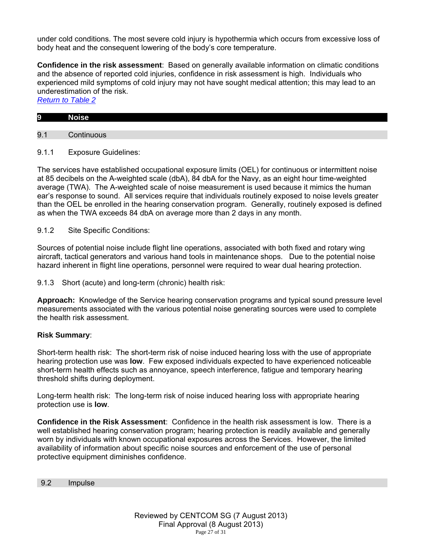under cold conditions. The most severe cold injury is hypothermia which occurs from excessive loss of body heat and the consequent lowering of the body's core temperature.

**Confidence in the risk assessment**: Based on generally available information on climatic conditions and the absence of reported cold injuries, confidence in risk assessment is high. Individuals who experienced mild symptoms of cold injury may not have sought medical attention; this may lead to an underestimation of the risk.

*Return to Table 2*

| $\overline{9}$ | . .<br>N<br>лье |  |  |  |
|----------------|-----------------|--|--|--|

9.1 Continuous

9.1.1 Exposure Guidelines:

The services have established occupational exposure limits (OEL) for continuous or intermittent noise at 85 decibels on the A-weighted scale (dbA), 84 dbA for the Navy, as an eight hour time-weighted average (TWA). The A-weighted scale of noise measurement is used because it mimics the human ear's response to sound. All services require that individuals routinely exposed to noise levels greater than the OEL be enrolled in the hearing conservation program. Generally, routinely exposed is defined as when the TWA exceeds 84 dbA on average more than 2 days in any month.

9.1.2 Site Specific Conditions:

Sources of potential noise include flight line operations, associated with both fixed and rotary wing aircraft, tactical generators and various hand tools in maintenance shops. Due to the potential noise hazard inherent in flight line operations, personnel were required to wear dual hearing protection.

9.1.3 Short (acute) and long-term (chronic) health risk:

**Approach:** Knowledge of the Service hearing conservation programs and typical sound pressure level measurements associated with the various potential noise generating sources were used to complete the health risk assessment.

# **Risk Summary**:

Short-term health risk: The short-term risk of noise induced hearing loss with the use of appropriate hearing protection use was **low**. Few exposed individuals expected to have experienced noticeable short-term health effects such as annoyance, speech interference, fatigue and temporary hearing threshold shifts during deployment.

Long-term health risk: The long-term risk of noise induced hearing loss with appropriate hearing protection use is **low**.

**Confidence in the Risk Assessment**: Confidence in the health risk assessment is low. There is a well established hearing conservation program; hearing protection is readily available and generally worn by individuals with known occupational exposures across the Services. However, the limited availability of information about specific noise sources and enforcement of the use of personal protective equipment diminishes confidence.

9.2 Impulse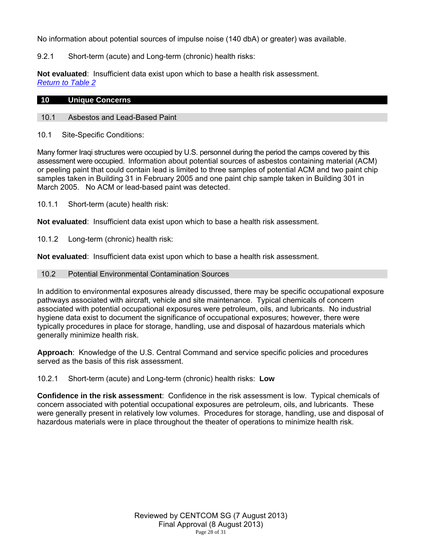No information about potential sources of impulse noise (140 dbA) or greater) was available.

9.2.1 Short-term (acute) and Long-term (chronic) health risks:

**Not evaluated**: Insufficient data exist upon which to base a health risk assessment. *Return to Table 2*

### **10 Unique Concerns**

10.1 Asbestos and Lead-Based Paint

10.1 Site-Specific Conditions:

Many former Iraqi structures were occupied by U.S. personnel during the period the camps covered by this assessment were occupied. Information about potential sources of asbestos containing material (ACM) or peeling paint that could contain lead is limited to three samples of potential ACM and two paint chip samples taken in Building 31 in February 2005 and one paint chip sample taken in Building 301 in March 2005. No ACM or lead-based paint was detected.

10.1.1 Short-term (acute) health risk:

**Not evaluated**: Insufficient data exist upon which to base a health risk assessment.

10.1.2 Long-term (chronic) health risk:

**Not evaluated**: Insufficient data exist upon which to base a health risk assessment.

#### 10.2 Potential Environmental Contamination Sources

In addition to environmental exposures already discussed, there may be specific occupational exposure pathways associated with aircraft, vehicle and site maintenance. Typical chemicals of concern associated with potential occupational exposures were petroleum, oils, and lubricants. No industrial hygiene data exist to document the significance of occupational exposures; however, there were typically procedures in place for storage, handling, use and disposal of hazardous materials which generally minimize health risk.

**Approach**: Knowledge of the U.S. Central Command and service specific policies and procedures served as the basis of this risk assessment.

10.2.1 Short-term (acute) and Long-term (chronic) health risks: **Low**

**Confidence in the risk assessment**: Confidence in the risk assessment is low. Typical chemicals of concern associated with potential occupational exposures are petroleum, oils, and lubricants. These were generally present in relatively low volumes. Procedures for storage, handling, use and disposal of hazardous materials were in place throughout the theater of operations to minimize health risk.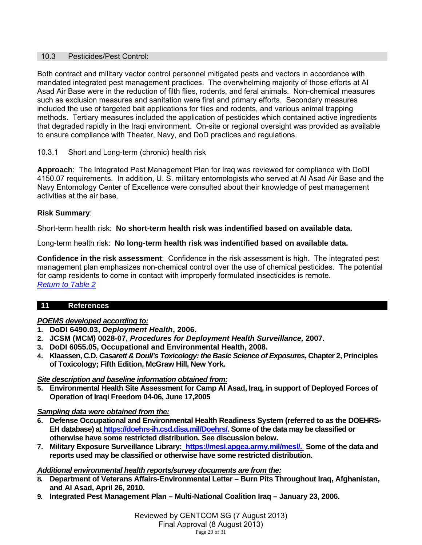# 10.3 Pesticides/Pest Control:

Both contract and military vector control personnel mitigated pests and vectors in accordance with mandated integrated pest management practices. The overwhelming majority of those efforts at Al Asad Air Base were in the reduction of filth flies, rodents, and feral animals. Non-chemical measures such as exclusion measures and sanitation were first and primary efforts. Secondary measures included the use of targeted bait applications for flies and rodents, and various animal trapping methods. Tertiary measures included the application of pesticides which contained active ingredients that degraded rapidly in the Iraqi environment. On-site or regional oversight was provided as available to ensure compliance with Theater, Navy, and DoD practices and regulations.

# 10.3.1 Short and Long-term (chronic) health risk

**Approach**: The Integrated Pest Management Plan for Iraq was reviewed for compliance with DoDI 4150.07 requirements. In addition, U. S. military entomologists who served at Al Asad Air Base and the Navy Entomology Center of Excellence were consulted about their knowledge of pest management activities at the air base.

# **Risk Summary**:

Short-term health risk: **No short-term health risk was indentified based on available data.**

Long-term health risk: **No long-term health risk was indentified based on available data.** 

**Confidence in the risk assessment**: Confidence in the risk assessment is high. The integrated pest management plan emphasizes non-chemical control over the use of chemical pesticides. The potential for camp residents to come in contact with improperly formulated insecticides is remote. *Return to Table 2*

# **11 References**

### *POEMS developed according to:*

- **1. DoDI 6490.03,** *Deployment Health***, 2006.**
- **2. JCSM (MCM) 0028-07,** *Procedures for Deployment Health Surveillance,* **2007.**
- **3. DoDI 6055.05, Occupational and Environmental Health, 2008.**
- **4. Klaassen, C.D.** *Casarett & Doull's Toxicology: the Basic Science of Exposures***, Chapter 2, Principles of Toxicology; Fifth Edition, McGraw Hill, New York.**

### *Site description and baseline information obtained from:*

**5. Environmental Health Site Assessment for Camp Al Asad, Iraq, in support of Deployed Forces of Operation of Iraqi Freedom 04-06, June 17,2005** 

### *Sampling data were obtained from the:*

- **6. Defense Occupational and Environmental Health Readiness System (referred to as the DOEHRS-EH database) at https://doehrs-ih.csd.disa.mil/Doehrs/. Some of the data may be classified or otherwise have some restricted distribution. See discussion below.**
- **7. Military Exposure Surveillance Library: https://mesl.apgea.army.mil/mesl/. Some of the data and reports used may be classified or otherwise have some restricted distribution.**

### *Additional environmental health reports/survey documents are from the:*

- **8. Department of Veterans Affairs-Environmental Letter Burn Pits Throughout Iraq, Afghanistan, and Al Asad, April 26, 2010.**
- **9. Integrated Pest Management Plan Multi-National Coalition Iraq January 23, 2006.**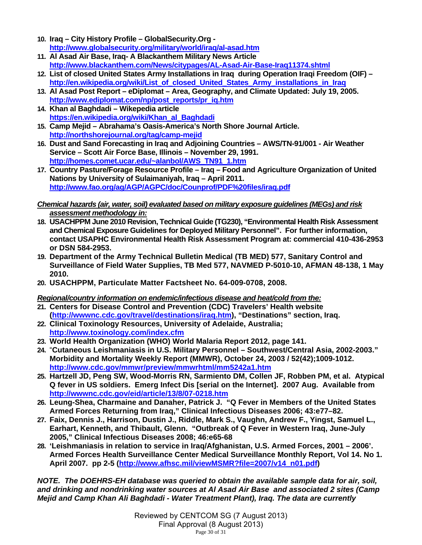- **10. Iraq City History Profile GlobalSecurity.Org http://www.globalsecurity.org/military/world/iraq/al-asad.htm**
- **11. Al Asad Air Base, Iraq- A Blackanthem Military News Article http://www.blackanthem.com/News/citypages/AL-Asad-Air-Base-Iraq11374.shtml**
- **12. List of closed United States Army Installations in Iraq during Operation Iraqi Freedom (OIF) http://en.wikipedia.org/wiki/List\_of\_closed\_United\_States\_Army\_installations\_in\_Iraq**
- **13. Al Asad Post Report eDiplomat Area, Geography, and Climate Updated: July 19, 2005. http://www.ediplomat.com/np/post\_reports/pr\_iq.htm**
- **14. Khan al Baghdadi Wikepedia article https://en.wikipedia.org/wiki/Khan\_al\_Baghdadi**
- **15. Camp Mejid Abrahama's Oasis-America's North Shore Journal Article. http://northshorejournal.org/tag/camp-mejid**
- **16. Dust and Sand Forecasting in Iraq and Adjoining Countries AWS/TN-91/001 Air Weather Service – Scott Air Force Base, Illinois – November 29, 1991. http://homes.comet.ucar.edu/~alanbol/AWS\_TN91\_1.htm**
- **17. Country Pasture/Forage Resource Profile Iraq Food and Agriculture Organization of United Nations by University of Sulaimaniyah, Iraq – April 2011. http://www.fao.org/ag/AGP/AGPC/doc/Counprof/PDF%20files/iraq.pdf**

# *Chemical hazards (air, water, soil) evaluated based on military exposure guidelines (MEGs) and risk assessment methodology in:*

- **18. USACHPPM June 2010 Revision, Technical Guide (TG230), "Environmental Health Risk Assessment and Chemical Exposure Guidelines for Deployed Military Personnel". For further information, contact USAPHC Environmental Health Risk Assessment Program at: commercial 410-436-2953 or DSN 584-2953.**
- **19. Department of the Army Technical Bulletin Medical (TB MED) 577, Sanitary Control and Surveillance of Field Water Supplies, TB Med 577, NAVMED P-5010-10, AFMAN 48-138, 1 May 2010.**
- **20. USACHPPM, Particulate Matter Factsheet No. 64-009-0708, 2008.**

# *Regional/country information on endemic/infectious disease and heat/cold from the:*

- **21. Centers for Disease Control and Prevention (CDC) Travelers' Health website (http://wwwnc.cdc.gov/travel/destinations/iraq.htm), "Destinations" section, Iraq.**
- **22. Clinical Toxinology Resources, University of Adelaide, Australia; http://www.toxinology.com/index.cfm**
- **23. World Health Organization (WHO) World Malaria Report 2012, page 141.**
- **24.** "**Cutaneous Leishmaniasis in U.S. Military Personnel Southwest/Central Asia, 2002-2003." Morbidity and Mortality Weekly Report (MMWR), October 24, 2003 / 52(42);1009-1012. http://www.cdc.gov/mmwr/preview/mmwrhtml/mm5242a1.htm**
- **25. Hartzell JD, Peng SW, Wood-Morris RN, Sarmiento DM, Collen JF, Robben PM, et al. Atypical Q fever in US soldiers. Emerg Infect Dis [serial on the Internet]. 2007 Aug. Available from http://wwwnc.cdc.gov/eid/article/13/8/07-0218.htm**
- **26. Leung-Shea, Charmaine and Danaher, Patrick J. "Q Fever in Members of the United States Armed Forces Returning from Iraq," Clinical Infectious Diseases 2006; 43:e77–82.**
- **27. Faix, Dennis J., Harrison, Dustin J., Riddle, Mark S., Vaughn, Andrew F., Yingst, Samuel L., Earhart, Kenneth, and Thibault, Glenn. "Outbreak of Q Fever in Western Iraq, June-July 2005," Clinical Infectious Diseases 2008; 46:e65-68**
- **28. 'Leishmaniasis in relation to service in Iraq/Afghanistan, U.S. Armed Forces, 2001 2006'. Armed Forces Health Surveillance Center Medical Surveillance Monthly Report, Vol 14. No 1. April 2007. pp 2-5 (http://www.afhsc.mil/viewMSMR?file=2007/v14\_n01.pdf)**

*NOTE. The DOEHRS-EH database was queried to obtain the available sample data for air, soil, and drinking and nondrinking water sources at Al Asad Air Base and associated 2 sites (Camp Mejid and Camp Khan Ali Baghdadi - Water Treatment Plant), Iraq. The data are currently*